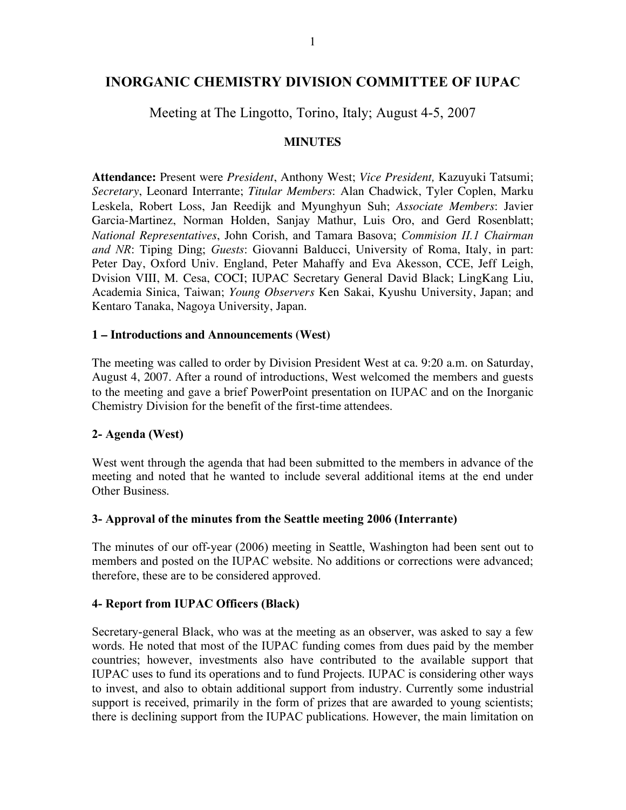# **INORGANIC CHEMISTRY DIVISION COMMITTEE OF IUPAC**

### Meeting at The Lingotto, Torino, Italy; August 4-5, 2007

#### **MINUTES**

**Attendance:** Present were *President*, Anthony West; *Vice President,* Kazuyuki Tatsumi; *Secretary*, Leonard Interrante; *Titular Members*: Alan Chadwick, Tyler Coplen, Marku Leskela, Robert Loss, Jan Reedijk and Myunghyun Suh; *Associate Members*: Javier Garcia-Martinez, Norman Holden, Sanjay Mathur, Luis Oro, and Gerd Rosenblatt; *National Representatives*, John Corish, and Tamara Basova; *Commision II.1 Chairman and NR*: Tiping Ding; *Guests*: Giovanni Balducci, University of Roma, Italy, in part: Peter Day, Oxford Univ. England, Peter Mahaffy and Eva Akesson, CCE, Jeff Leigh, Dvision VIII, M. Cesa, COCI; IUPAC Secretary General David Black; LingKang Liu, Academia Sinica, Taiwan; *Young Observers* Ken Sakai, Kyushu University, Japan; and Kentaro Tanaka, Nagoya University, Japan.

#### **1 – Introductions and Announcements (West)**

The meeting was called to order by Division President West at ca. 9:20 a.m. on Saturday, August 4, 2007. After a round of introductions, West welcomed the members and guests to the meeting and gave a brief PowerPoint presentation on IUPAC and on the Inorganic Chemistry Division for the benefit of the first-time attendees.

### **2- Agenda (West)**

West went through the agenda that had been submitted to the members in advance of the meeting and noted that he wanted to include several additional items at the end under Other Business.

#### **3- Approval of the minutes from the Seattle meeting 2006 (Interrante)**

The minutes of our off-year (2006) meeting in Seattle, Washington had been sent out to members and posted on the IUPAC website. No additions or corrections were advanced; therefore, these are to be considered approved.

### **4- Report from IUPAC Officers (Black)**

Secretary-general Black, who was at the meeting as an observer, was asked to say a few words. He noted that most of the IUPAC funding comes from dues paid by the member countries; however, investments also have contributed to the available support that IUPAC uses to fund its operations and to fund Projects. IUPAC is considering other ways to invest, and also to obtain additional support from industry. Currently some industrial support is received, primarily in the form of prizes that are awarded to young scientists; there is declining support from the IUPAC publications. However, the main limitation on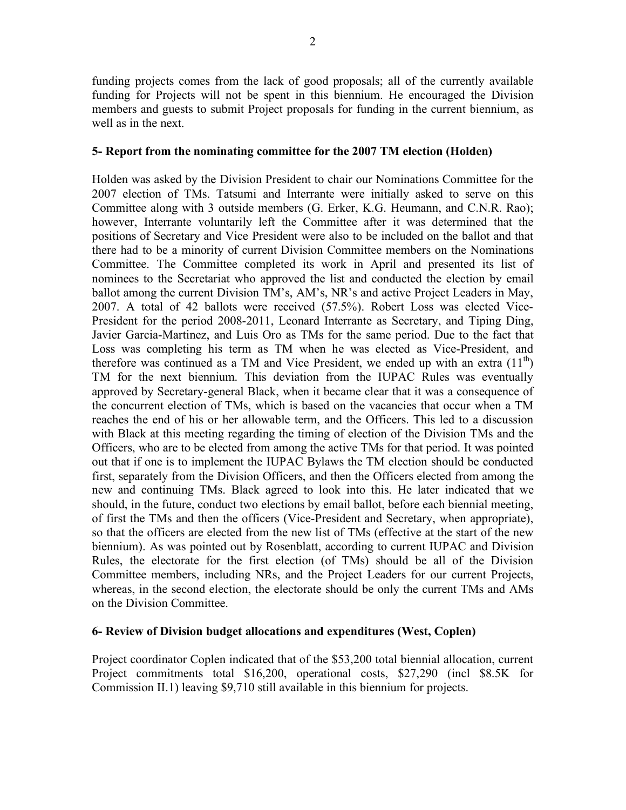funding projects comes from the lack of good proposals; all of the currently available funding for Projects will not be spent in this biennium. He encouraged the Division members and guests to submit Project proposals for funding in the current biennium, as well as in the next.

#### **5- Report from the nominating committee for the 2007 TM election (Holden)**

Holden was asked by the Division President to chair our Nominations Committee for the 2007 election of TMs. Tatsumi and Interrante were initially asked to serve on this Committee along with 3 outside members (G. Erker, K.G. Heumann, and C.N.R. Rao); however, Interrante voluntarily left the Committee after it was determined that the positions of Secretary and Vice President were also to be included on the ballot and that there had to be a minority of current Division Committee members on the Nominations Committee. The Committee completed its work in April and presented its list of nominees to the Secretariat who approved the list and conducted the election by email ballot among the current Division TM's, AM's, NR's and active Project Leaders in May, 2007. A total of 42 ballots were received (57.5%). Robert Loss was elected Vice-President for the period 2008-2011, Leonard Interrante as Secretary, and Tiping Ding, Javier Garcia-Martinez, and Luis Oro as TMs for the same period. Due to the fact that Loss was completing his term as TM when he was elected as Vice-President, and therefore was continued as a TM and Vice President, we ended up with an extra  $(11<sup>th</sup>)$ TM for the next biennium. This deviation from the IUPAC Rules was eventually approved by Secretary-general Black, when it became clear that it was a consequence of the concurrent election of TMs, which is based on the vacancies that occur when a TM reaches the end of his or her allowable term, and the Officers. This led to a discussion with Black at this meeting regarding the timing of election of the Division TMs and the Officers, who are to be elected from among the active TMs for that period. It was pointed out that if one is to implement the IUPAC Bylaws the TM election should be conducted first, separately from the Division Officers, and then the Officers elected from among the new and continuing TMs. Black agreed to look into this. He later indicated that we should, in the future, conduct two elections by email ballot, before each biennial meeting, of first the TMs and then the officers (Vice-President and Secretary, when appropriate), so that the officers are elected from the new list of TMs (effective at the start of the new biennium). As was pointed out by Rosenblatt, according to current IUPAC and Division Rules, the electorate for the first election (of TMs) should be all of the Division Committee members, including NRs, and the Project Leaders for our current Projects, whereas, in the second election, the electorate should be only the current TMs and AMs on the Division Committee.

#### **6- Review of Division budget allocations and expenditures (West, Coplen)**

Project coordinator Coplen indicated that of the \$53,200 total biennial allocation, current Project commitments total \$16,200, operational costs, \$27,290 (incl \$8.5K for Commission II.1) leaving \$9,710 still available in this biennium for projects.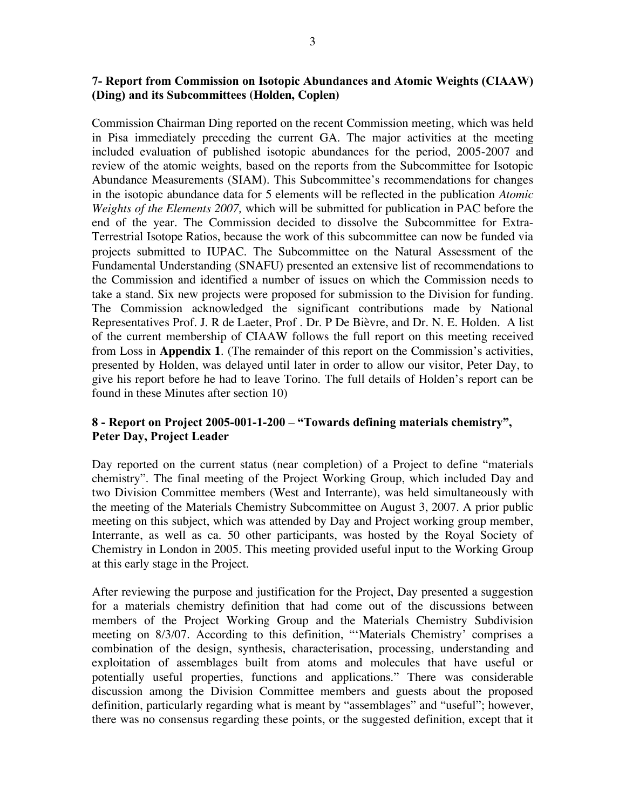### **7- Report from Commission on Isotopic Abundances and Atomic Weights (CIAAW) (Ding) and its Subcommittees (Holden, Coplen)**

Commission Chairman Ding reported on the recent Commission meeting, which was held in Pisa immediately preceding the current GA. The major activities at the meeting included evaluation of published isotopic abundances for the period, 2005-2007 and review of the atomic weights, based on the reports from the Subcommittee for Isotopic Abundance Measurements (SIAM). This Subcommittee's recommendations for changes in the isotopic abundance data for 5 elements will be reflected in the publication *Atomic Weights of the Elements 2007,* which will be submitted for publication in PAC before the end of the year. The Commission decided to dissolve the Subcommittee for Extra-Terrestrial Isotope Ratios, because the work of this subcommittee can now be funded via projects submitted to IUPAC. The Subcommittee on the Natural Assessment of the Fundamental Understanding (SNAFU) presented an extensive list of recommendations to the Commission and identified a number of issues on which the Commission needs to take a stand. Six new projects were proposed for submission to the Division for funding. The Commission acknowledged the significant contributions made by National Representatives Prof. J. R de Laeter, Prof . Dr. P De Bièvre, and Dr. N. E. Holden. A list of the current membership of CIAAW follows the full report on this meeting received from Loss in **Appendix 1**. (The remainder of this report on the Commission's activities, presented by Holden, was delayed until later in order to allow our visitor, Peter Day, to give his report before he had to leave Torino. The full details of Holden's report can be found in these Minutes after section 10)

### **8 - Report on Project 2005-001-1-200 – "Towards defining materials chemistry", Peter Day, Project Leader**

Day reported on the current status (near completion) of a Project to define "materials chemistry". The final meeting of the Project Working Group, which included Day and two Division Committee members (West and Interrante), was held simultaneously with the meeting of the Materials Chemistry Subcommittee on August 3, 2007. A prior public meeting on this subject, which was attended by Day and Project working group member, Interrante, as well as ca. 50 other participants, was hosted by the Royal Society of Chemistry in London in 2005. This meeting provided useful input to the Working Group at this early stage in the Project.

After reviewing the purpose and justification for the Project, Day presented a suggestion for a materials chemistry definition that had come out of the discussions between members of the Project Working Group and the Materials Chemistry Subdivision meeting on 8/3/07. According to this definition, "'Materials Chemistry' comprises a combination of the design, synthesis, characterisation, processing, understanding and exploitation of assemblages built from atoms and molecules that have useful or potentially useful properties, functions and applications." There was considerable discussion among the Division Committee members and guests about the proposed definition, particularly regarding what is meant by "assemblages" and "useful"; however, there was no consensus regarding these points, or the suggested definition, except that it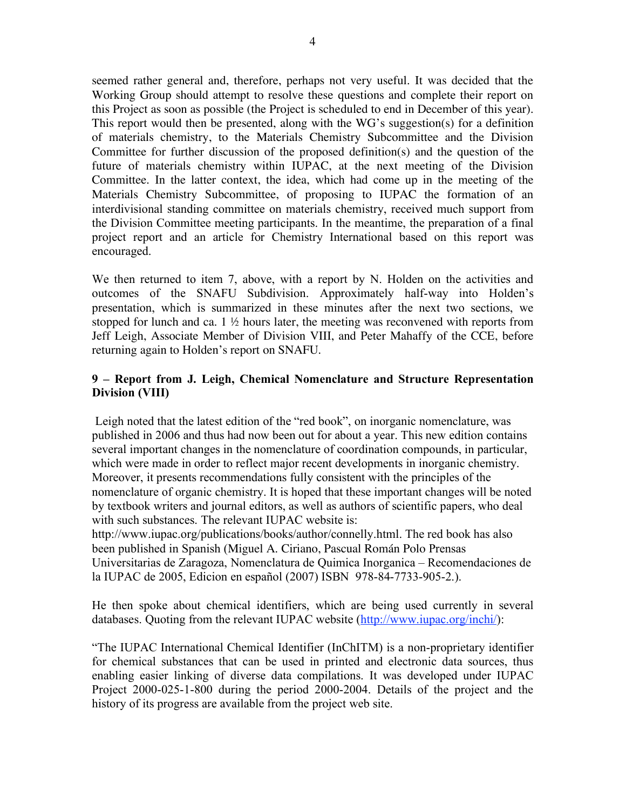seemed rather general and, therefore, perhaps not very useful. It was decided that the Working Group should attempt to resolve these questions and complete their report on this Project as soon as possible (the Project is scheduled to end in December of this year). This report would then be presented, along with the WG's suggestion(s) for a definition of materials chemistry, to the Materials Chemistry Subcommittee and the Division Committee for further discussion of the proposed definition(s) and the question of the future of materials chemistry within IUPAC, at the next meeting of the Division Committee. In the latter context, the idea, which had come up in the meeting of the Materials Chemistry Subcommittee, of proposing to IUPAC the formation of an interdivisional standing committee on materials chemistry, received much support from the Division Committee meeting participants. In the meantime, the preparation of a final project report and an article for Chemistry International based on this report was encouraged.

We then returned to item 7, above, with a report by N. Holden on the activities and outcomes of the SNAFU Subdivision. Approximately half-way into Holden's presentation, which is summarized in these minutes after the next two sections, we stopped for lunch and ca.  $1 \frac{1}{2}$  hours later, the meeting was reconvened with reports from Jeff Leigh, Associate Member of Division VIII, and Peter Mahaffy of the CCE, before returning again to Holden's report on SNAFU.

### **9 – Report from J. Leigh, Chemical Nomenclature and Structure Representation Division (VIII)**

Leigh noted that the latest edition of the "red book", on inorganic nomenclature, was published in 2006 and thus had now been out for about a year. This new edition contains several important changes in the nomenclature of coordination compounds, in particular, which were made in order to reflect major recent developments in inorganic chemistry. Moreover, it presents recommendations fully consistent with the principles of the nomenclature of organic chemistry. It is hoped that these important changes will be noted by textbook writers and journal editors, as well as authors of scientific papers, who deal with such substances. The relevant IUPAC website is:

http://www.iupac.org/publications/books/author/connelly.html. The red book has also been published in Spanish (Miguel A. Ciriano, Pascual Román Polo Prensas Universitarias de Zaragoza, Nomenclatura de Quimica Inorganica – Recomendaciones de la IUPAC de 2005, Edicion en español (2007) ISBN 978-84-7733-905-2.).

He then spoke about chemical identifiers, which are being used currently in several databases. Quoting from the relevant IUPAC website (http://www.iupac.org/inchi/):

"The IUPAC International Chemical Identifier (InChITM) is a non-proprietary identifier for chemical substances that can be used in printed and electronic data sources, thus enabling easier linking of diverse data compilations. It was developed under IUPAC Project 2000-025-1-800 during the period 2000-2004. Details of the project and the history of its progress are available from the project web site.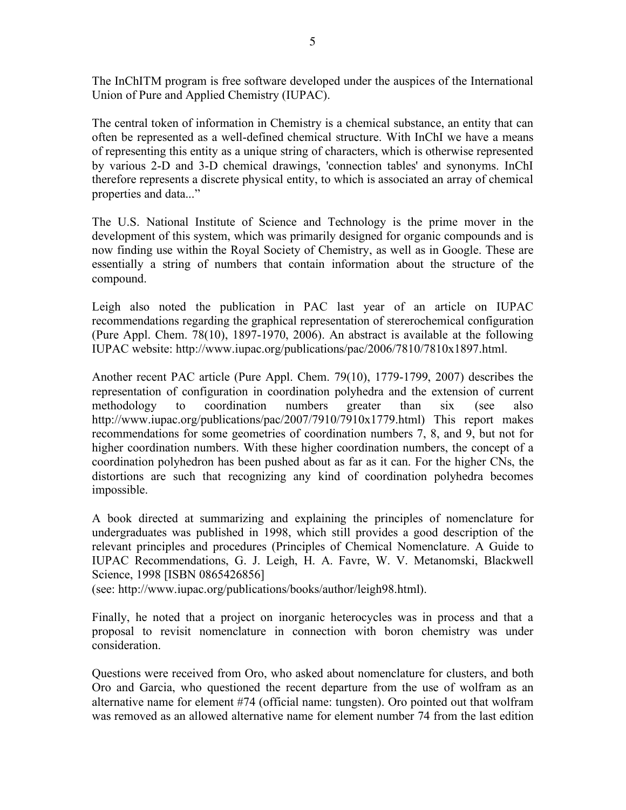The InChITM program is free software developed under the auspices of the International Union of Pure and Applied Chemistry (IUPAC).

The central token of information in Chemistry is a chemical substance, an entity that can often be represented as a well-defined chemical structure. With InChI we have a means of representing this entity as a unique string of characters, which is otherwise represented by various 2-D and 3-D chemical drawings, 'connection tables' and synonyms. InChI therefore represents a discrete physical entity, to which is associated an array of chemical properties and data..."

The U.S. National Institute of Science and Technology is the prime mover in the development of this system, which was primarily designed for organic compounds and is now finding use within the Royal Society of Chemistry, as well as in Google. These are essentially a string of numbers that contain information about the structure of the compound.

Leigh also noted the publication in PAC last year of an article on IUPAC recommendations regarding the graphical representation of stererochemical configuration (Pure Appl. Chem. 78(10), 1897-1970, 2006). An abstract is available at the following IUPAC website: http://www.iupac.org/publications/pac/2006/7810/7810x1897.html.

Another recent PAC article (Pure Appl. Chem. 79(10), 1779-1799, 2007) describes the representation of configuration in coordination polyhedra and the extension of current methodology to coordination numbers greater than six (see also http://www.iupac.org/publications/pac/2007/7910/7910x1779.html) This report makes recommendations for some geometries of coordination numbers 7, 8, and 9, but not for higher coordination numbers. With these higher coordination numbers, the concept of a coordination polyhedron has been pushed about as far as it can. For the higher CNs, the distortions are such that recognizing any kind of coordination polyhedra becomes impossible.

A book directed at summarizing and explaining the principles of nomenclature for undergraduates was published in 1998, which still provides a good description of the relevant principles and procedures (Principles of Chemical Nomenclature. A Guide to IUPAC Recommendations, G. J. Leigh, H. A. Favre, W. V. Metanomski, Blackwell Science, 1998 [ISBN 0865426856]

(see: http://www.iupac.org/publications/books/author/leigh98.html).

Finally, he noted that a project on inorganic heterocycles was in process and that a proposal to revisit nomenclature in connection with boron chemistry was under consideration.

Questions were received from Oro, who asked about nomenclature for clusters, and both Oro and Garcia, who questioned the recent departure from the use of wolfram as an alternative name for element #74 (official name: tungsten). Oro pointed out that wolfram was removed as an allowed alternative name for element number 74 from the last edition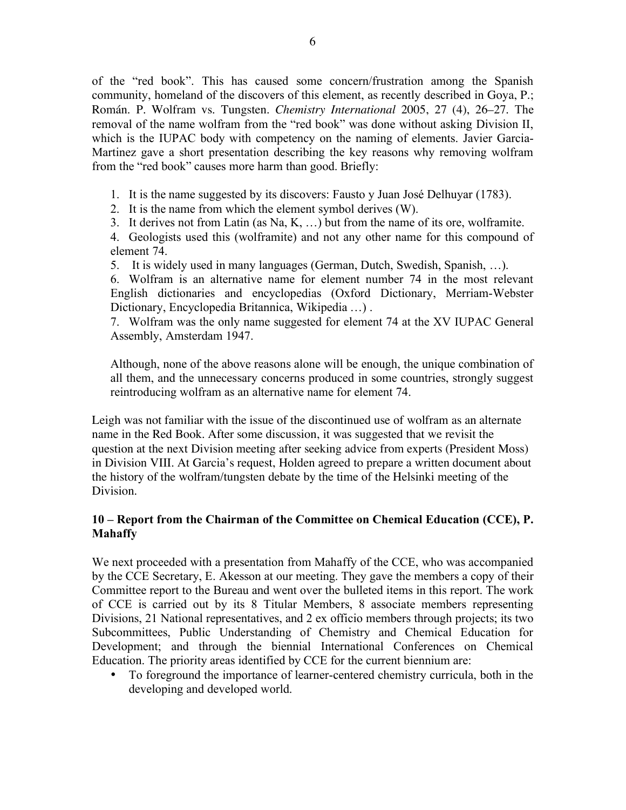of the "red book". This has caused some concern/frustration among the Spanish community, homeland of the discovers of this element, as recently described in Goya, P.; Román. P. Wolfram vs. Tungsten. *Chemistry International* 2005, 27 (4), 26–27. The removal of the name wolfram from the "red book" was done without asking Division II, which is the IUPAC body with competency on the naming of elements. Javier Garcia-Martinez gave a short presentation describing the key reasons why removing wolfram from the "red book" causes more harm than good. Briefly:

1. It is the name suggested by its discovers: Fausto y Juan José Delhuyar (1783).

2. It is the name from which the element symbol derives (W).

3. It derives not from Latin (as Na, K, …) but from the name of its ore, wolframite.

4. Geologists used this (wolframite) and not any other name for this compound of element 74.

5. It is widely used in many languages (German, Dutch, Swedish, Spanish, …).

6. Wolfram is an alternative name for element number 74 in the most relevant English dictionaries and encyclopedias (Oxford Dictionary, Merriam-Webster Dictionary, Encyclopedia Britannica, Wikipedia …) .

7. Wolfram was the only name suggested for element 74 at the XV IUPAC General Assembly, Amsterdam 1947.

Although, none of the above reasons alone will be enough, the unique combination of all them, and the unnecessary concerns produced in some countries, strongly suggest reintroducing wolfram as an alternative name for element 74.

Leigh was not familiar with the issue of the discontinued use of wolfram as an alternate name in the Red Book. After some discussion, it was suggested that we revisit the question at the next Division meeting after seeking advice from experts (President Moss) in Division VIII. At Garcia's request, Holden agreed to prepare a written document about the history of the wolfram/tungsten debate by the time of the Helsinki meeting of the Division.

### **10 – Report from the Chairman of the Committee on Chemical Education (CCE), P. Mahaffy**

We next proceeded with a presentation from Mahaffy of the CCE, who was accompanied by the CCE Secretary, E. Akesson at our meeting. They gave the members a copy of their Committee report to the Bureau and went over the bulleted items in this report. The work of CCE is carried out by its 8 Titular Members, 8 associate members representing Divisions, 21 National representatives, and 2 ex officio members through projects; its two Subcommittees, Public Understanding of Chemistry and Chemical Education for Development; and through the biennial International Conferences on Chemical Education. The priority areas identified by CCE for the current biennium are:

• To foreground the importance of learner-centered chemistry curricula, both in the developing and developed world.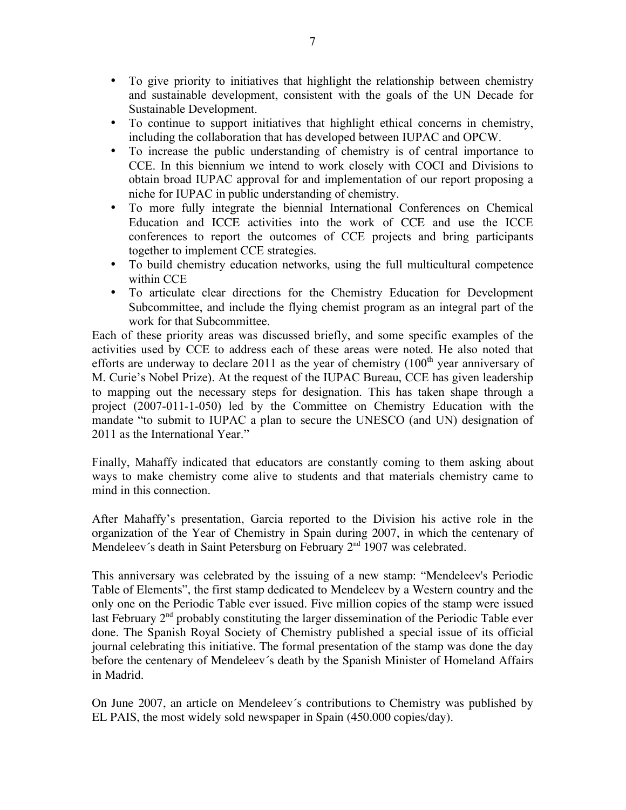- To give priority to initiatives that highlight the relationship between chemistry and sustainable development, consistent with the goals of the UN Decade for Sustainable Development.
- To continue to support initiatives that highlight ethical concerns in chemistry, including the collaboration that has developed between IUPAC and OPCW.
- To increase the public understanding of chemistry is of central importance to CCE. In this biennium we intend to work closely with COCI and Divisions to obtain broad IUPAC approval for and implementation of our report proposing a niche for IUPAC in public understanding of chemistry.
- To more fully integrate the biennial International Conferences on Chemical Education and ICCE activities into the work of CCE and use the ICCE conferences to report the outcomes of CCE projects and bring participants together to implement CCE strategies.
- To build chemistry education networks, using the full multicultural competence within CCE
- To articulate clear directions for the Chemistry Education for Development Subcommittee, and include the flying chemist program as an integral part of the work for that Subcommittee.

Each of these priority areas was discussed briefly, and some specific examples of the activities used by CCE to address each of these areas were noted. He also noted that efforts are underway to declare 2011 as the year of chemistry  $(100<sup>th</sup>$  year anniversary of M. Curie's Nobel Prize). At the request of the IUPAC Bureau, CCE has given leadership to mapping out the necessary steps for designation. This has taken shape through a project (2007-011-1-050) led by the Committee on Chemistry Education with the mandate "to submit to IUPAC a plan to secure the UNESCO (and UN) designation of 2011 as the International Year."

Finally, Mahaffy indicated that educators are constantly coming to them asking about ways to make chemistry come alive to students and that materials chemistry came to mind in this connection.

After Mahaffy's presentation, Garcia reported to the Division his active role in the organization of the Year of Chemistry in Spain during 2007, in which the centenary of Mendeleev's death in Saint Petersburg on February 2<sup>nd</sup> 1907 was celebrated.

This anniversary was celebrated by the issuing of a new stamp: "Mendeleev's Periodic Table of Elements", the first stamp dedicated to Mendeleev by a Western country and the only one on the Periodic Table ever issued. Five million copies of the stamp were issued last February 2<sup>nd</sup> probably constituting the larger dissemination of the Periodic Table ever done. The Spanish Royal Society of Chemistry published a special issue of its official journal celebrating this initiative. The formal presentation of the stamp was done the day before the centenary of Mendeleev´s death by the Spanish Minister of Homeland Affairs in Madrid.

On June 2007, an article on Mendeleev´s contributions to Chemistry was published by EL PAIS, the most widely sold newspaper in Spain (450.000 copies/day).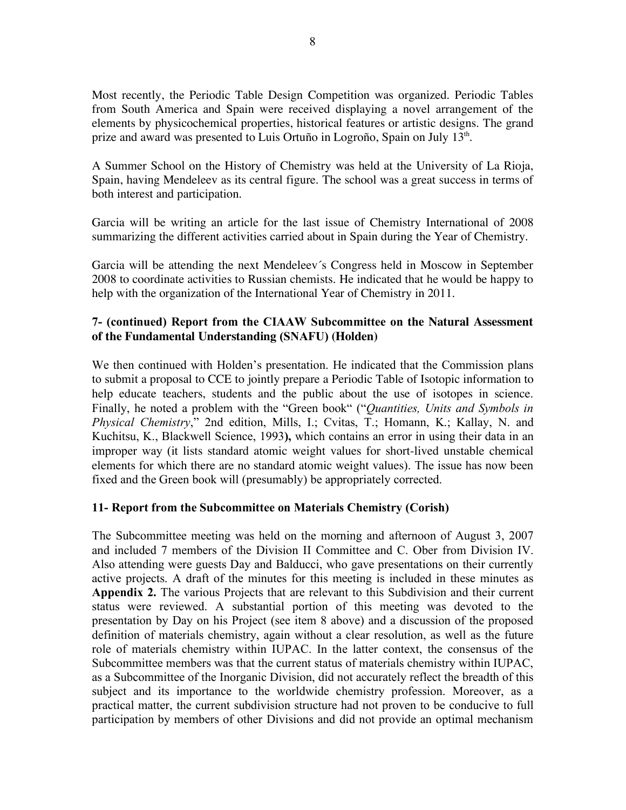Most recently, the Periodic Table Design Competition was organized. Periodic Tables from South America and Spain were received displaying a novel arrangement of the elements by physicochemical properties, historical features or artistic designs. The grand prize and award was presented to Luis Ortuño in Logroño, Spain on July 13<sup>th</sup>.

A Summer School on the History of Chemistry was held at the University of La Rioja, Spain, having Mendeleev as its central figure. The school was a great success in terms of both interest and participation.

Garcia will be writing an article for the last issue of Chemistry International of 2008 summarizing the different activities carried about in Spain during the Year of Chemistry.

Garcia will be attending the next Mendeleev´s Congress held in Moscow in September 2008 to coordinate activities to Russian chemists. He indicated that he would be happy to help with the organization of the International Year of Chemistry in 2011.

### **7- (continued) Report from the CIAAW Subcommittee on the Natural Assessment of the Fundamental Understanding (SNAFU) (Holden)**

We then continued with Holden's presentation. He indicated that the Commission plans to submit a proposal to CCE to jointly prepare a Periodic Table of Isotopic information to help educate teachers, students and the public about the use of isotopes in science. Finally, he noted a problem with the "Green book" ("*Quantities, Units and Symbols in Physical Chemistry*," 2nd edition, Mills, I.; Cvitas, T.; Homann, K.; Kallay, N. and Kuchitsu, K., Blackwell Science, 1993**),** which contains an error in using their data in an improper way (it lists standard atomic weight values for short-lived unstable chemical elements for which there are no standard atomic weight values). The issue has now been fixed and the Green book will (presumably) be appropriately corrected.

### **11- Report from the Subcommittee on Materials Chemistry (Corish)**

The Subcommittee meeting was held on the morning and afternoon of August 3, 2007 and included 7 members of the Division II Committee and C. Ober from Division IV. Also attending were guests Day and Balducci, who gave presentations on their currently active projects. A draft of the minutes for this meeting is included in these minutes as **Appendix 2.** The various Projects that are relevant to this Subdivision and their current status were reviewed. A substantial portion of this meeting was devoted to the presentation by Day on his Project (see item 8 above) and a discussion of the proposed definition of materials chemistry, again without a clear resolution, as well as the future role of materials chemistry within IUPAC. In the latter context, the consensus of the Subcommittee members was that the current status of materials chemistry within IUPAC, as a Subcommittee of the Inorganic Division, did not accurately reflect the breadth of this subject and its importance to the worldwide chemistry profession. Moreover, as a practical matter, the current subdivision structure had not proven to be conducive to full participation by members of other Divisions and did not provide an optimal mechanism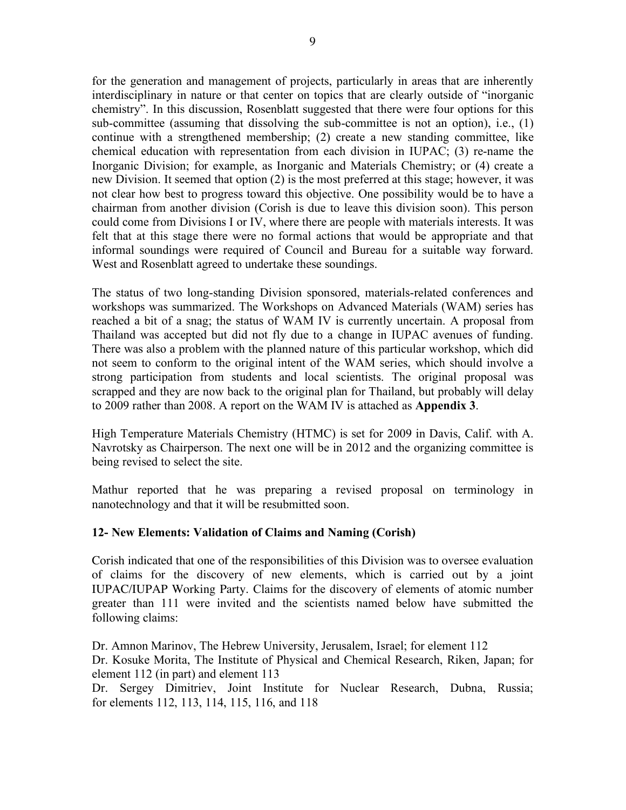for the generation and management of projects, particularly in areas that are inherently interdisciplinary in nature or that center on topics that are clearly outside of "inorganic chemistry". In this discussion, Rosenblatt suggested that there were four options for this sub-committee (assuming that dissolving the sub-committee is not an option), i.e., (1) continue with a strengthened membership; (2) create a new standing committee, like chemical education with representation from each division in IUPAC; (3) re-name the Inorganic Division; for example, as Inorganic and Materials Chemistry; or (4) create a new Division. It seemed that option (2) is the most preferred at this stage; however, it was not clear how best to progress toward this objective. One possibility would be to have a chairman from another division (Corish is due to leave this division soon). This person could come from Divisions I or IV, where there are people with materials interests. It was felt that at this stage there were no formal actions that would be appropriate and that informal soundings were required of Council and Bureau for a suitable way forward. West and Rosenblatt agreed to undertake these soundings.

The status of two long-standing Division sponsored, materials-related conferences and workshops was summarized. The Workshops on Advanced Materials (WAM) series has reached a bit of a snag; the status of WAM IV is currently uncertain. A proposal from Thailand was accepted but did not fly due to a change in IUPAC avenues of funding. There was also a problem with the planned nature of this particular workshop, which did not seem to conform to the original intent of the WAM series, which should involve a strong participation from students and local scientists. The original proposal was scrapped and they are now back to the original plan for Thailand, but probably will delay to 2009 rather than 2008. A report on the WAM IV is attached as **Appendix 3**.

High Temperature Materials Chemistry (HTMC) is set for 2009 in Davis, Calif. with A. Navrotsky as Chairperson. The next one will be in 2012 and the organizing committee is being revised to select the site.

Mathur reported that he was preparing a revised proposal on terminology in nanotechnology and that it will be resubmitted soon.

### **12- New Elements: Validation of Claims and Naming (Corish)**

Corish indicated that one of the responsibilities of this Division was to oversee evaluation of claims for the discovery of new elements, which is carried out by a joint IUPAC/IUPAP Working Party. Claims for the discovery of elements of atomic number greater than 111 were invited and the scientists named below have submitted the following claims:

Dr. Amnon Marinov, The Hebrew University, Jerusalem, Israel; for element 112 Dr. Kosuke Morita, The Institute of Physical and Chemical Research, Riken, Japan; for element 112 (in part) and element 113

Dr. Sergey Dimitriev, Joint Institute for Nuclear Research, Dubna, Russia; for elements 112, 113, 114, 115, 116, and 118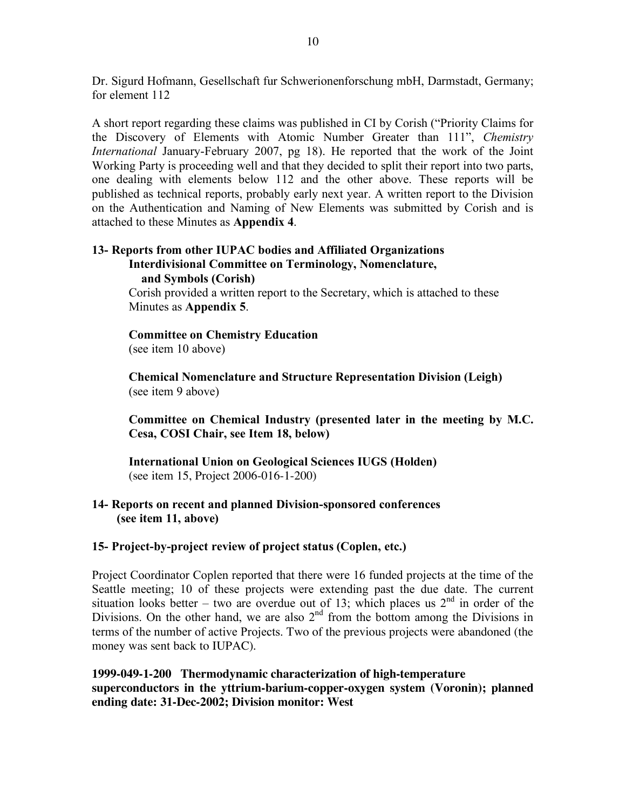Dr. Sigurd Hofmann, Gesellschaft fur Schwerionenforschung mbH, Darmstadt, Germany; for element 112

A short report regarding these claims was published in CI by Corish ("Priority Claims for the Discovery of Elements with Atomic Number Greater than 111", *Chemistry International* January-February 2007, pg 18). He reported that the work of the Joint Working Party is proceeding well and that they decided to split their report into two parts, one dealing with elements below 112 and the other above. These reports will be published as technical reports, probably early next year. A written report to the Division on the Authentication and Naming of New Elements was submitted by Corish and is attached to these Minutes as **Appendix 4**.

#### **13- Reports from other IUPAC bodies and Affiliated Organizations Interdivisional Committee on Terminology, Nomenclature, and Symbols (Corish)**

Corish provided a written report to the Secretary, which is attached to these Minutes as **Appendix 5**.

**Committee on Chemistry Education** (see item 10 above)

**Chemical Nomenclature and Structure Representation Division (Leigh)** (see item 9 above)

**Committee on Chemical Industry (presented later in the meeting by M.C. Cesa, COSI Chair, see Item 18, below)**

**International Union on Geological Sciences IUGS (Holden)** (see item 15, Project 2006-016-1-200)

### **14- Reports on recent and planned Division-sponsored conferences (see item 11, above)**

### **15- Project-by-project review of project status (Coplen, etc.)**

Project Coordinator Coplen reported that there were 16 funded projects at the time of the Seattle meeting; 10 of these projects were extending past the due date. The current situation looks better – two are overdue out of 13; which places us  $2<sup>nd</sup>$  in order of the Divisions. On the other hand, we are also  $2<sup>nd</sup>$  from the bottom among the Divisions in terms of the number of active Projects. Two of the previous projects were abandoned (the money was sent back to IUPAC).

**1999-049-1-200 Thermodynamic characterization of high-temperature superconductors in the yttrium-barium-copper-oxygen system (Voronin); planned ending date: 31-Dec-2002; Division monitor: West**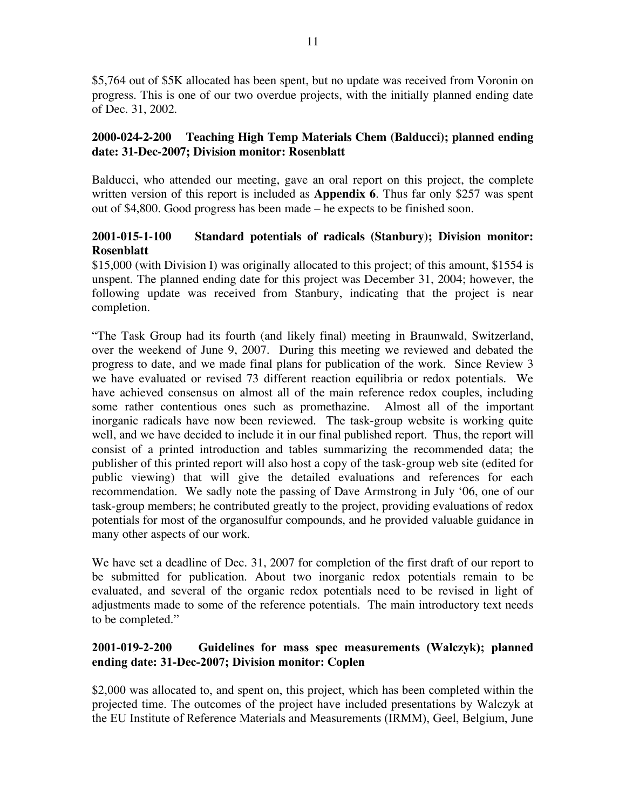\$5,764 out of \$5K allocated has been spent, but no update was received from Voronin on progress. This is one of our two overdue projects, with the initially planned ending date of Dec. 31, 2002.

### **2000-024-2-200 Teaching High Temp Materials Chem (Balducci); planned ending date: 31-Dec-2007; Division monitor: Rosenblatt**

Balducci, who attended our meeting, gave an oral report on this project, the complete written version of this report is included as **Appendix 6**. Thus far only \$257 was spent out of \$4,800. Good progress has been made – he expects to be finished soon.

### **2001-015-1-100 Standard potentials of radicals (Stanbury); Division monitor: Rosenblatt**

\$15,000 (with Division I) was originally allocated to this project; of this amount, \$1554 is unspent. The planned ending date for this project was December 31, 2004; however, the following update was received from Stanbury, indicating that the project is near completion.

"The Task Group had its fourth (and likely final) meeting in Braunwald, Switzerland, over the weekend of June 9, 2007. During this meeting we reviewed and debated the progress to date, and we made final plans for publication of the work. Since Review 3 we have evaluated or revised 73 different reaction equilibria or redox potentials. We have achieved consensus on almost all of the main reference redox couples, including some rather contentious ones such as promethazine. Almost all of the important inorganic radicals have now been reviewed. The task-group website is working quite well, and we have decided to include it in our final published report. Thus, the report will consist of a printed introduction and tables summarizing the recommended data; the publisher of this printed report will also host a copy of the task-group web site (edited for public viewing) that will give the detailed evaluations and references for each recommendation. We sadly note the passing of Dave Armstrong in July '06, one of our task-group members; he contributed greatly to the project, providing evaluations of redox potentials for most of the organosulfur compounds, and he provided valuable guidance in many other aspects of our work.

We have set a deadline of Dec. 31, 2007 for completion of the first draft of our report to be submitted for publication. About two inorganic redox potentials remain to be evaluated, and several of the organic redox potentials need to be revised in light of adjustments made to some of the reference potentials. The main introductory text needs to be completed."

### **2001-019-2-200 Guidelines for mass spec measurements (Walczyk); planned ending date: 31-Dec-2007; Division monitor: Coplen**

\$2,000 was allocated to, and spent on, this project, which has been completed within the projected time. The outcomes of the project have included presentations by Walczyk at the EU Institute of Reference Materials and Measurements (IRMM), Geel, Belgium, June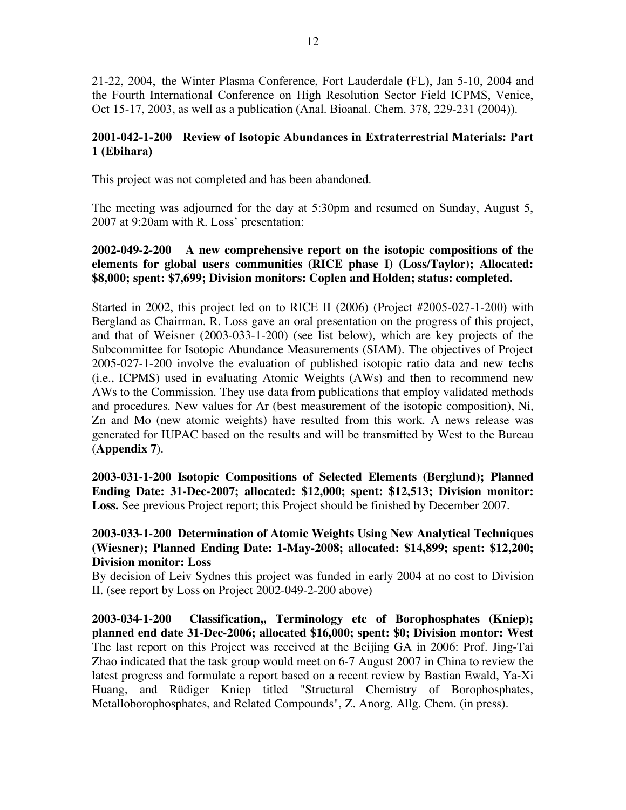21-22, 2004, the Winter Plasma Conference, Fort Lauderdale (FL), Jan 5-10, 2004 and the Fourth International Conference on High Resolution Sector Field ICPMS, Venice, Oct 15-17, 2003, as well as a publication (Anal. Bioanal. Chem. 378, 229-231 (2004)).

### **2001-042-1-200 Review of Isotopic Abundances in Extraterrestrial Materials: Part 1 (Ebihara)**

This project was not completed and has been abandoned.

The meeting was adjourned for the day at 5:30pm and resumed on Sunday, August 5, 2007 at 9:20am with R. Loss' presentation:

### **2002-049-2-200 A new comprehensive report on the isotopic compositions of the elements for global users communities (RICE phase I) (Loss/Taylor); Allocated: \$8,000; spent: \$7,699; Division monitors: Coplen and Holden; status: completed.**

Started in 2002, this project led on to RICE II (2006) (Project #2005-027-1-200) with Bergland as Chairman. R. Loss gave an oral presentation on the progress of this project, and that of Weisner (2003-033-1-200) (see list below), which are key projects of the Subcommittee for Isotopic Abundance Measurements (SIAM). The objectives of Project 2005-027-1-200 involve the evaluation of published isotopic ratio data and new techs (i.e., ICPMS) used in evaluating Atomic Weights (AWs) and then to recommend new AWs to the Commission. They use data from publications that employ validated methods and procedures. New values for Ar (best measurement of the isotopic composition), Ni, Zn and Mo (new atomic weights) have resulted from this work. A news release was generated for IUPAC based on the results and will be transmitted by West to the Bureau (**Appendix 7**).

**2003-031-1-200 Isotopic Compositions of Selected Elements (Berglund); Planned Ending Date: 31-Dec-2007; allocated: \$12,000; spent: \$12,513; Division monitor: Loss.** See previous Project report; this Project should be finished by December 2007.

### **2003-033-1-200 Determination of Atomic Weights Using New Analytical Techniques (Wiesner); Planned Ending Date: 1-May-2008; allocated: \$14,899; spent: \$12,200; Division monitor: Loss**

By decision of Leiv Sydnes this project was funded in early 2004 at no cost to Division II. (see report by Loss on Project 2002-049-2-200 above)

**2003-034-1-200 Classification,, Terminology etc of Borophosphates (Kniep); planned end date 31-Dec-2006; allocated \$16,000; spent: \$0; Division montor: West** The last report on this Project was received at the Beijing GA in 2006: Prof. Jing-Tai Zhao indicated that the task group would meet on 6-7 August 2007 in China to review the latest progress and formulate a report based on a recent review by Bastian Ewald, Ya-Xi Huang, and Rüdiger Kniep titled "Structural Chemistry of Borophosphates, Metalloborophosphates, and Related Compounds", Z. Anorg. Allg. Chem. (in press).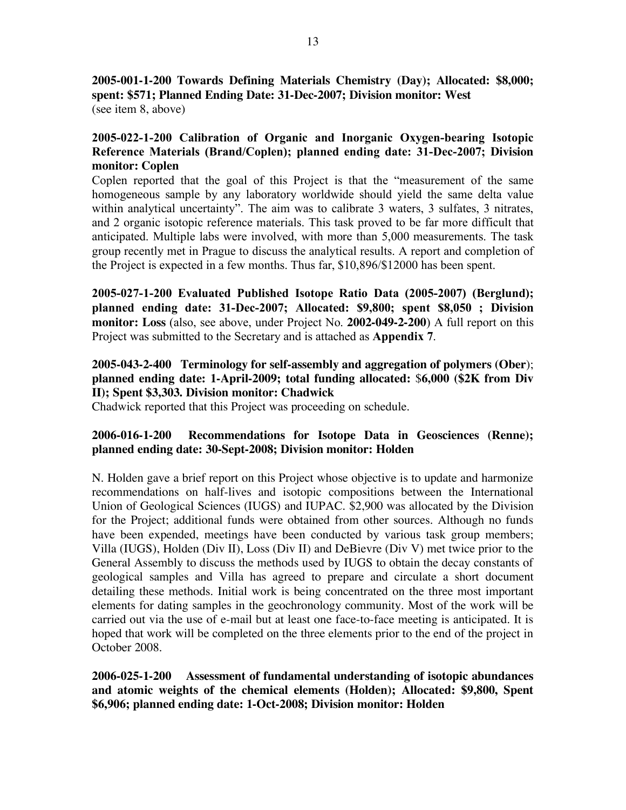**2005-001-1-200 Towards Defining Materials Chemistry (Day); Allocated: \$8,000; spent: \$571; Planned Ending Date: 31-Dec-2007; Division monitor: West** (see item 8, above)

### **2005-022-1-200 Calibration of Organic and Inorganic Oxygen-bearing Isotopic Reference Materials (Brand/Coplen); planned ending date: 31-Dec-2007; Division monitor: Coplen**

Coplen reported that the goal of this Project is that the "measurement of the same homogeneous sample by any laboratory worldwide should yield the same delta value within analytical uncertainty". The aim was to calibrate 3 waters, 3 sulfates, 3 nitrates, and 2 organic isotopic reference materials. This task proved to be far more difficult that anticipated. Multiple labs were involved, with more than 5,000 measurements. The task group recently met in Prague to discuss the analytical results. A report and completion of the Project is expected in a few months. Thus far, \$10,896/\$12000 has been spent.

**2005-027-1-200 Evaluated Published Isotope Ratio Data (2005-2007) (Berglund); planned ending date: 31-Dec-2007; Allocated: \$9,800; spent \$8,050 ; Division monitor: Loss** (also, see above, under Project No. **2002-049-2-200**) A full report on this Project was submitted to the Secretary and is attached as **Appendix 7**.

### **2005-043-2-400 Terminology for self-assembly and aggregation of polymers (Ober**); **planned ending date: 1-April-2009; total funding allocated:** \$**6,000 (\$2K from Div II); Spent \$3,303. Division monitor: Chadwick**

Chadwick reported that this Project was proceeding on schedule.

### **2006-016-1-200 Recommendations for Isotope Data in Geosciences (Renne); planned ending date: 30-Sept-2008; Division monitor: Holden**

N. Holden gave a brief report on this Project whose objective is to update and harmonize recommendations on half-lives and isotopic compositions between the International Union of Geological Sciences (IUGS) and IUPAC. \$2,900 was allocated by the Division for the Project; additional funds were obtained from other sources. Although no funds have been expended, meetings have been conducted by various task group members; Villa (IUGS), Holden (Div II), Loss (Div II) and DeBievre (Div V) met twice prior to the General Assembly to discuss the methods used by IUGS to obtain the decay constants of geological samples and Villa has agreed to prepare and circulate a short document detailing these methods. Initial work is being concentrated on the three most important elements for dating samples in the geochronology community. Most of the work will be carried out via the use of e-mail but at least one face-to-face meeting is anticipated. It is hoped that work will be completed on the three elements prior to the end of the project in October 2008.

**2006-025-1-200 Assessment of fundamental understanding of isotopic abundances and atomic weights of the chemical elements (Holden); Allocated: \$9,800, Spent \$6,906; planned ending date: 1-Oct-2008; Division monitor: Holden**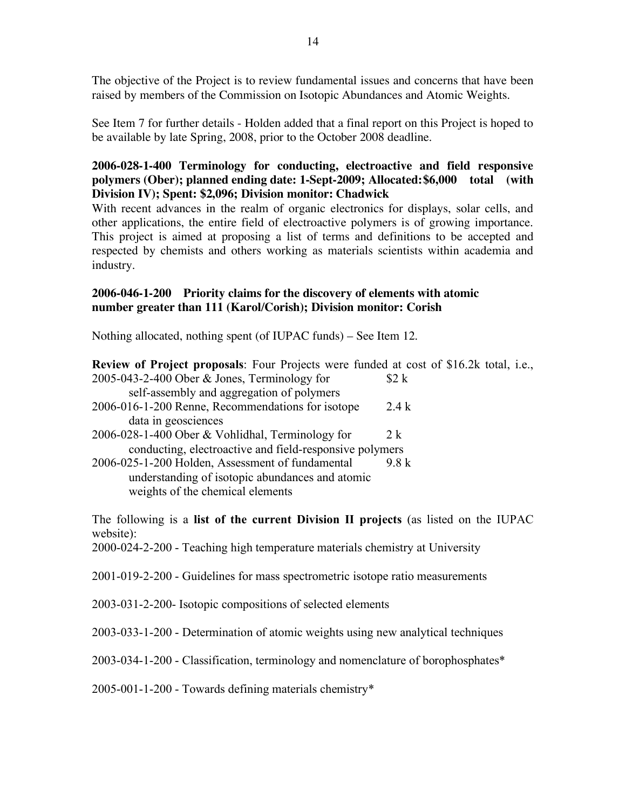The objective of the Project is to review fundamental issues and concerns that have been raised by members of the Commission on Isotopic Abundances and Atomic Weights.

See Item 7 for further details - Holden added that a final report on this Project is hoped to be available by late Spring, 2008, prior to the October 2008 deadline.

### **2006-028-1-400 Terminology for conducting, electroactive and field responsive polymers (Ober); planned ending date: 1-Sept-2009; Allocated:\$6,000 total (with Division IV); Spent: \$2,096; Division monitor: Chadwick**

With recent advances in the realm of organic electronics for displays, solar cells, and other applications, the entire field of electroactive polymers is of growing importance. This project is aimed at proposing a list of terms and definitions to be accepted and respected by chemists and others working as materials scientists within academia and industry.

#### **2006-046-1-200 Priority claims for the discovery of elements with atomic number greater than 111 (Karol/Corish); Division monitor: Corish**

Nothing allocated, nothing spent (of IUPAC funds) – See Item 12.

| Review of Project proposals: Four Projects were funded at cost of \$16.2k total, i.e., |       |
|----------------------------------------------------------------------------------------|-------|
| 2005-043-2-400 Ober & Jones, Terminology for                                           | \$2 k |
| self-assembly and aggregation of polymers                                              |       |
| 2006-016-1-200 Renne, Recommendations for isotope                                      | 2.4k  |
| data in geosciences                                                                    |       |
| 2006-028-1-400 Ober & Vohlidhal, Terminology for                                       | 2 k   |
| conducting, electroactive and field-responsive polymers                                |       |
| 2006-025-1-200 Holden, Assessment of fundamental                                       | 9 8 k |
| understanding of isotopic abundances and atomic                                        |       |
| weights of the chemical elements                                                       |       |

The following is a **list of the current Division II projects** (as listed on the IUPAC website):

2000-024-2-200 - Teaching high temperature materials chemistry at University

2001-019-2-200 - Guidelines for mass spectrometric isotope ratio measurements

2003-031-2-200- Isotopic compositions of selected elements

2003-033-1-200 - Determination of atomic weights using new analytical techniques

2003-034-1-200 - Classification, terminology and nomenclature of borophosphates\*

2005-001-1-200 - Towards defining materials chemistry\*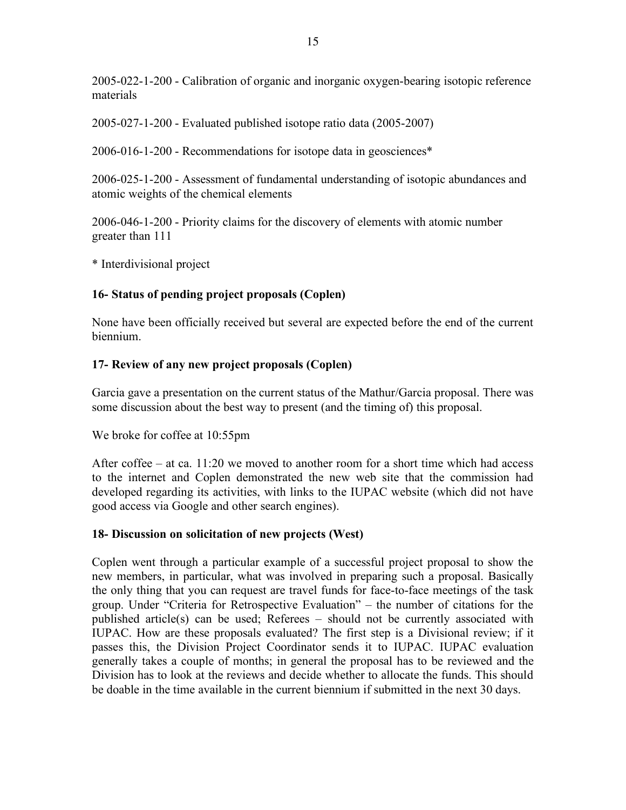2005-022-1-200 - Calibration of organic and inorganic oxygen-bearing isotopic reference materials

2005-027-1-200 - Evaluated published isotope ratio data (2005-2007)

2006-016-1-200 - Recommendations for isotope data in geosciences\*

2006-025-1-200 - Assessment of fundamental understanding of isotopic abundances and atomic weights of the chemical elements

2006-046-1-200 - Priority claims for the discovery of elements with atomic number greater than 111

\* Interdivisional project

## **16- Status of pending project proposals (Coplen)**

None have been officially received but several are expected before the end of the current biennium.

## **17- Review of any new project proposals (Coplen)**

Garcia gave a presentation on the current status of the Mathur/Garcia proposal. There was some discussion about the best way to present (and the timing of) this proposal.

We broke for coffee at 10:55pm

After coffee – at ca. 11:20 we moved to another room for a short time which had access to the internet and Coplen demonstrated the new web site that the commission had developed regarding its activities, with links to the IUPAC website (which did not have good access via Google and other search engines).

### **18- Discussion on solicitation of new projects (West)**

Coplen went through a particular example of a successful project proposal to show the new members, in particular, what was involved in preparing such a proposal. Basically the only thing that you can request are travel funds for face-to-face meetings of the task group. Under "Criteria for Retrospective Evaluation" – the number of citations for the published article(s) can be used; Referees – should not be currently associated with IUPAC. How are these proposals evaluated? The first step is a Divisional review; if it passes this, the Division Project Coordinator sends it to IUPAC. IUPAC evaluation generally takes a couple of months; in general the proposal has to be reviewed and the Division has to look at the reviews and decide whether to allocate the funds. This should be doable in the time available in the current biennium if submitted in the next 30 days.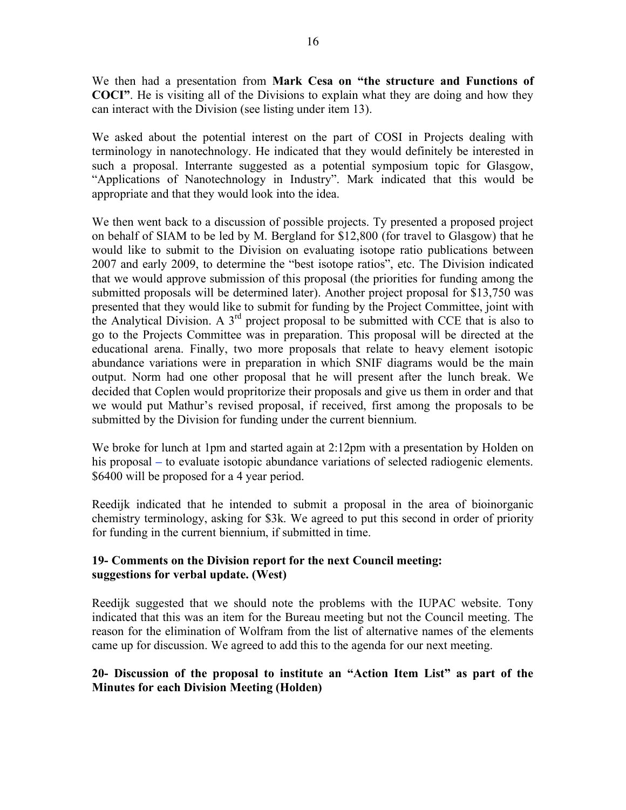We then had a presentation from **Mark Cesa on "the structure and Functions of COCI"**. He is visiting all of the Divisions to explain what they are doing and how they can interact with the Division (see listing under item 13).

We asked about the potential interest on the part of COSI in Projects dealing with terminology in nanotechnology. He indicated that they would definitely be interested in such a proposal. Interrante suggested as a potential symposium topic for Glasgow, "Applications of Nanotechnology in Industry". Mark indicated that this would be appropriate and that they would look into the idea.

We then went back to a discussion of possible projects. Ty presented a proposed project on behalf of SIAM to be led by M. Bergland for \$12,800 (for travel to Glasgow) that he would like to submit to the Division on evaluating isotope ratio publications between 2007 and early 2009, to determine the "best isotope ratios", etc. The Division indicated that we would approve submission of this proposal (the priorities for funding among the submitted proposals will be determined later). Another project proposal for \$13,750 was presented that they would like to submit for funding by the Project Committee, joint with the Analytical Division. A 3rd project proposal to be submitted with CCE that is also to go to the Projects Committee was in preparation. This proposal will be directed at the educational arena. Finally, two more proposals that relate to heavy element isotopic abundance variations were in preparation in which SNIF diagrams would be the main output. Norm had one other proposal that he will present after the lunch break. We decided that Coplen would propritorize their proposals and give us them in order and that we would put Mathur's revised proposal, if received, first among the proposals to be submitted by the Division for funding under the current biennium.

We broke for lunch at 1pm and started again at 2:12pm with a presentation by Holden on his proposal – to evaluate isotopic abundance variations of selected radiogenic elements. \$6400 will be proposed for a 4 year period.

Reedijk indicated that he intended to submit a proposal in the area of bioinorganic chemistry terminology, asking for \$3k. We agreed to put this second in order of priority for funding in the current biennium, if submitted in time.

### **19- Comments on the Division report for the next Council meeting: suggestions for verbal update. (West)**

Reedijk suggested that we should note the problems with the IUPAC website. Tony indicated that this was an item for the Bureau meeting but not the Council meeting. The reason for the elimination of Wolfram from the list of alternative names of the elements came up for discussion. We agreed to add this to the agenda for our next meeting.

### **20- Discussion of the proposal to institute an "Action Item List" as part of the Minutes for each Division Meeting (Holden)**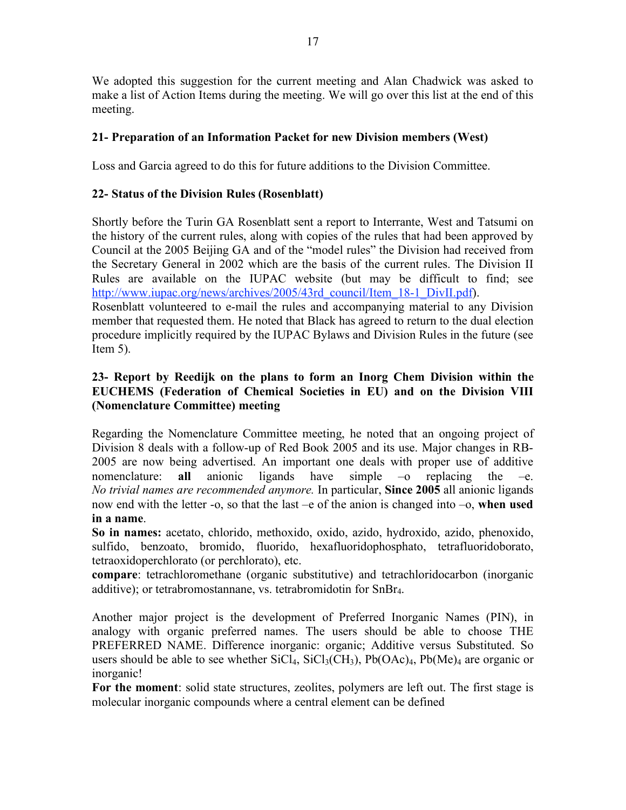We adopted this suggestion for the current meeting and Alan Chadwick was asked to make a list of Action Items during the meeting. We will go over this list at the end of this meeting.

### **21- Preparation of an Information Packet for new Division members (West)**

Loss and Garcia agreed to do this for future additions to the Division Committee.

### **22- Status of the Division Rules (Rosenblatt)**

Shortly before the Turin GA Rosenblatt sent a report to Interrante, West and Tatsumi on the history of the current rules, along with copies of the rules that had been approved by Council at the 2005 Beijing GA and of the "model rules" the Division had received from the Secretary General in 2002 which are the basis of the current rules. The Division II Rules are available on the IUPAC website (but may be difficult to find; see http://www.iupac.org/news/archives/2005/43rd\_council/Item\_18-1\_DivII.pdf). Rosenblatt volunteered to e-mail the rules and accompanying material to any Division member that requested them. He noted that Black has agreed to return to the dual election

procedure implicitly required by the IUPAC Bylaws and Division Rules in the future (see Item  $5$ ).

### **23- Report by Reedijk on the plans to form an Inorg Chem Division within the EUCHEMS (Federation of Chemical Societies in EU) and on the Division VIII (Nomenclature Committee) meeting**

Regarding the Nomenclature Committee meeting, he noted that an ongoing project of Division 8 deals with a follow-up of Red Book 2005 and its use. Major changes in RB-2005 are now being advertised. An important one deals with proper use of additive nomenclature: **all** anionic ligands have simple  $-\text{o}$  replacing the  $-\text{e}$ . *No trivial names are recommended anymore.* In particular, **Since 2005** all anionic ligands now end with the letter -o, so that the last –e of the anion is changed into –o, **when used in a name**.

**So in names:** acetato, chlorido, methoxido, oxido, azido, hydroxido, azido, phenoxido, sulfido, benzoato, bromido, fluorido, hexafluoridophosphato, tetrafluoridoborato, tetraoxidoperchlorato (or perchlorato), etc.

**compare**: tetrachloromethane (organic substitutive) and tetrachloridocarbon (inorganic additive); or tetrabromostannane, vs. tetrabromidotin for SnBr4.

Another major project is the development of Preferred Inorganic Names (PIN), in analogy with organic preferred names. The users should be able to choose THE PREFERRED NAME. Difference inorganic: organic; Additive versus Substituted. So users should be able to see whether  $SiCl_4$ ,  $SiCl_3(CH_3)$ ,  $Pb(OAc)_4$ ,  $Pb(Me)_4$  are organic or inorganic!

**For the moment**: solid state structures, zeolites, polymers are left out. The first stage is molecular inorganic compounds where a central element can be defined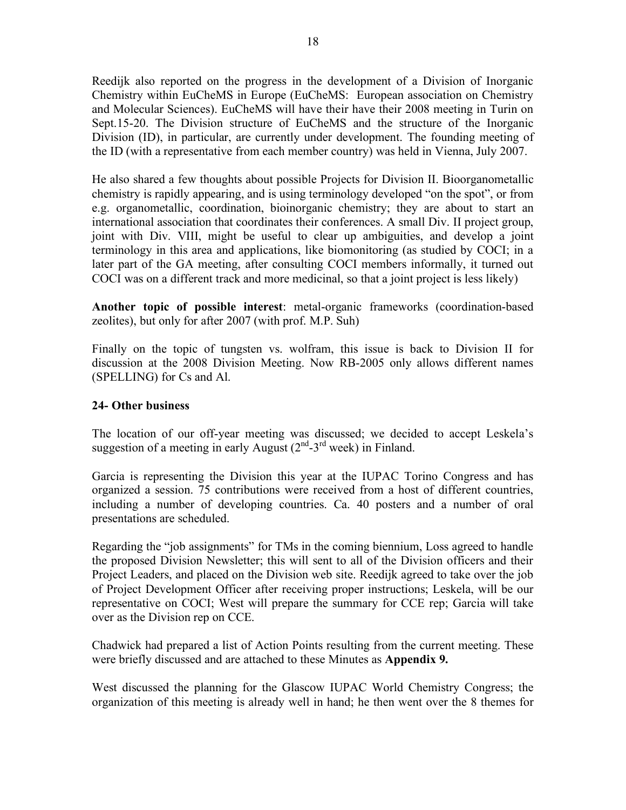Reedijk also reported on the progress in the development of a Division of Inorganic Chemistry within EuCheMS in Europe (EuCheMS: European association on Chemistry and Molecular Sciences). EuCheMS will have their have their 2008 meeting in Turin on Sept.15-20. The Division structure of EuCheMS and the structure of the Inorganic Division (ID), in particular, are currently under development. The founding meeting of the ID (with a representative from each member country) was held in Vienna, July 2007.

He also shared a few thoughts about possible Projects for Division II. Bioorganometallic chemistry is rapidly appearing, and is using terminology developed "on the spot", or from e.g. organometallic, coordination, bioinorganic chemistry; they are about to start an international association that coordinates their conferences. A small Div. II project group, joint with Div. VIII, might be useful to clear up ambiguities, and develop a joint terminology in this area and applications, like biomonitoring (as studied by COCI; in a later part of the GA meeting, after consulting COCI members informally, it turned out COCI was on a different track and more medicinal, so that a joint project is less likely)

**Another topic of possible interest**: metal-organic frameworks (coordination-based zeolites), but only for after 2007 (with prof. M.P. Suh)

Finally on the topic of tungsten vs. wolfram, this issue is back to Division II for discussion at the 2008 Division Meeting. Now RB-2005 only allows different names (SPELLING) for Cs and Al.

### **24- Other business**

The location of our off-year meeting was discussed; we decided to accept Leskela's suggestion of a meeting in early August  $(2<sup>nd</sup>-3<sup>rd</sup>$  week) in Finland.

Garcia is representing the Division this year at the IUPAC Torino Congress and has organized a session. 75 contributions were received from a host of different countries, including a number of developing countries. Ca. 40 posters and a number of oral presentations are scheduled.

Regarding the "job assignments" for TMs in the coming biennium, Loss agreed to handle the proposed Division Newsletter; this will sent to all of the Division officers and their Project Leaders, and placed on the Division web site. Reedijk agreed to take over the job of Project Development Officer after receiving proper instructions; Leskela, will be our representative on COCI; West will prepare the summary for CCE rep; Garcia will take over as the Division rep on CCE.

Chadwick had prepared a list of Action Points resulting from the current meeting. These were briefly discussed and are attached to these Minutes as **Appendix 9.**

West discussed the planning for the Glascow IUPAC World Chemistry Congress; the organization of this meeting is already well in hand; he then went over the 8 themes for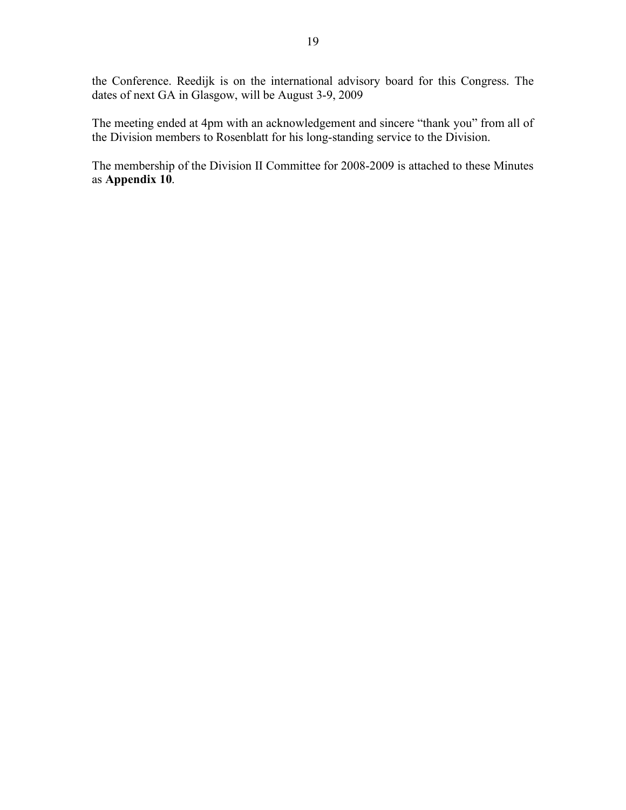the Conference. Reedijk is on the international advisory board for this Congress. The dates of next GA in Glasgow, will be August 3-9, 2009

The meeting ended at 4pm with an acknowledgement and sincere "thank you" from all of the Division members to Rosenblatt for his long-standing service to the Division.

The membership of the Division II Committee for 2008-2009 is attached to these Minutes as **Appendix 10**.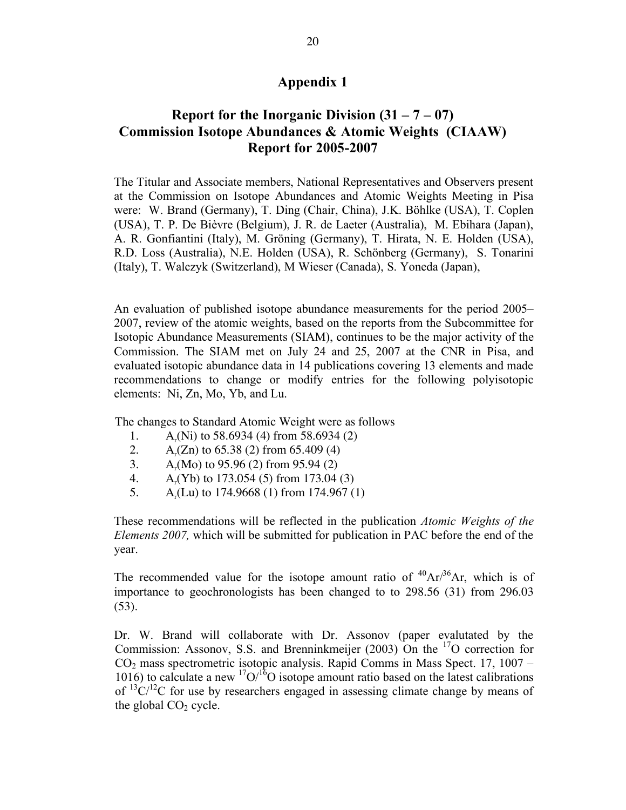# **Report** for the Inorganic Division  $(31 – 7 – 07)$ **Commission Isotope Abundances & Atomic Weights (CIAAW) Report for 2005-2007**

The Titular and Associate members, National Representatives and Observers present at the Commission on Isotope Abundances and Atomic Weights Meeting in Pisa were: W. Brand (Germany), T. Ding (Chair, China), J.K. Böhlke (USA), T. Coplen (USA), T. P. De Bièvre (Belgium), J. R. de Laeter (Australia), M. Ebihara (Japan), A. R. Gonfiantini (Italy), M. Gröning (Germany), T. Hirata, N. E. Holden (USA), R.D. Loss (Australia), N.E. Holden (USA), R. Schönberg (Germany), S. Tonarini (Italy), T. Walczyk (Switzerland), M Wieser (Canada), S. Yoneda (Japan),

An evaluation of published isotope abundance measurements for the period 2005– 2007, review of the atomic weights, based on the reports from the Subcommittee for Isotopic Abundance Measurements (SIAM), continues to be the major activity of the Commission. The SIAM met on July 24 and 25, 2007 at the CNR in Pisa, and evaluated isotopic abundance data in 14 publications covering 13 elements and made recommendations to change or modify entries for the following polyisotopic elements: Ni, Zn, Mo, Yb, and Lu.

The changes to Standard Atomic Weight were as follows

- 1. A<sub>r</sub>(Ni) to 58.6934 (4) from 58.6934 (2)<br>2. A<sub>r</sub>(Zn) to 65.38 (2) from 65.409 (4)
- 2. A<sub>r</sub>(Zn) to 65.38 (2) from 65.409 (4)
- 3. A<sub>r</sub>(Mo) to 95.96 (2) from 95.94 (2)
- 4. A<sub>r</sub>(Yb) to 173.054 (5) from 173.04 (3)<br>5. A.(Lu) to 174.9668 (1) from 174.967 (
- $A_r(Lu)$  to 174.9668 (1) from 174.967 (1)

These recommendations will be reflected in the publication *Atomic Weights of the Elements 2007,* which will be submitted for publication in PAC before the end of the year.

The recommended value for the isotope amount ratio of  ${}^{40}Ar/{}^{36}Ar$ , which is of importance to geochronologists has been changed to to 298.56 (31) from 296.03 (53).

Dr. W. Brand will collaborate with Dr. Assonov (paper evalutated by the Commission: Assonov, S.S. and Brenninkmeijer (2003) On the <sup>17</sup>O correction for CO2 mass spectrometric isotopic analysis. Rapid Comms in Mass Spect. 17, 1007 – 1016) to calculate a new  ${}^{17}O/{}^{16}O$  isotope amount ratio based on the latest calibrations of  $13^{\circ}C/12$ C for use by researchers engaged in assessing climate change by means of the global  $CO<sub>2</sub>$  cycle.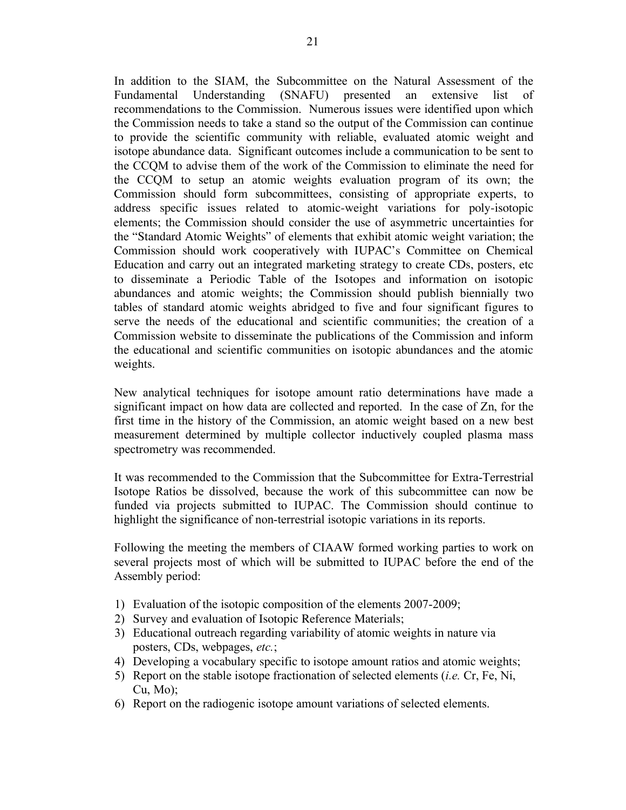In addition to the SIAM, the Subcommittee on the Natural Assessment of the Fundamental Understanding (SNAFU) presented an extensive list of recommendations to the Commission. Numerous issues were identified upon which the Commission needs to take a stand so the output of the Commission can continue to provide the scientific community with reliable, evaluated atomic weight and isotope abundance data. Significant outcomes include a communication to be sent to the CCQM to advise them of the work of the Commission to eliminate the need for the CCQM to setup an atomic weights evaluation program of its own; the Commission should form subcommittees, consisting of appropriate experts, to address specific issues related to atomic-weight variations for poly-isotopic elements; the Commission should consider the use of asymmetric uncertainties for the "Standard Atomic Weights" of elements that exhibit atomic weight variation; the Commission should work cooperatively with IUPAC's Committee on Chemical Education and carry out an integrated marketing strategy to create CDs, posters, etc to disseminate a Periodic Table of the Isotopes and information on isotopic abundances and atomic weights; the Commission should publish biennially two tables of standard atomic weights abridged to five and four significant figures to serve the needs of the educational and scientific communities; the creation of a Commission website to disseminate the publications of the Commission and inform the educational and scientific communities on isotopic abundances and the atomic weights.

New analytical techniques for isotope amount ratio determinations have made a significant impact on how data are collected and reported. In the case of Zn, for the first time in the history of the Commission, an atomic weight based on a new best measurement determined by multiple collector inductively coupled plasma mass spectrometry was recommended.

It was recommended to the Commission that the Subcommittee for Extra-Terrestrial Isotope Ratios be dissolved, because the work of this subcommittee can now be funded via projects submitted to IUPAC. The Commission should continue to highlight the significance of non-terrestrial isotopic variations in its reports.

Following the meeting the members of CIAAW formed working parties to work on several projects most of which will be submitted to IUPAC before the end of the Assembly period:

- 1) Evaluation of the isotopic composition of the elements 2007-2009;
- 2) Survey and evaluation of Isotopic Reference Materials;
- 3) Educational outreach regarding variability of atomic weights in nature via posters, CDs, webpages, *etc.*;
- 4) Developing a vocabulary specific to isotope amount ratios and atomic weights;
- 5) Report on the stable isotope fractionation of selected elements (*i.e.* Cr, Fe, Ni,  $Cu, Mo);$
- 6) Report on the radiogenic isotope amount variations of selected elements.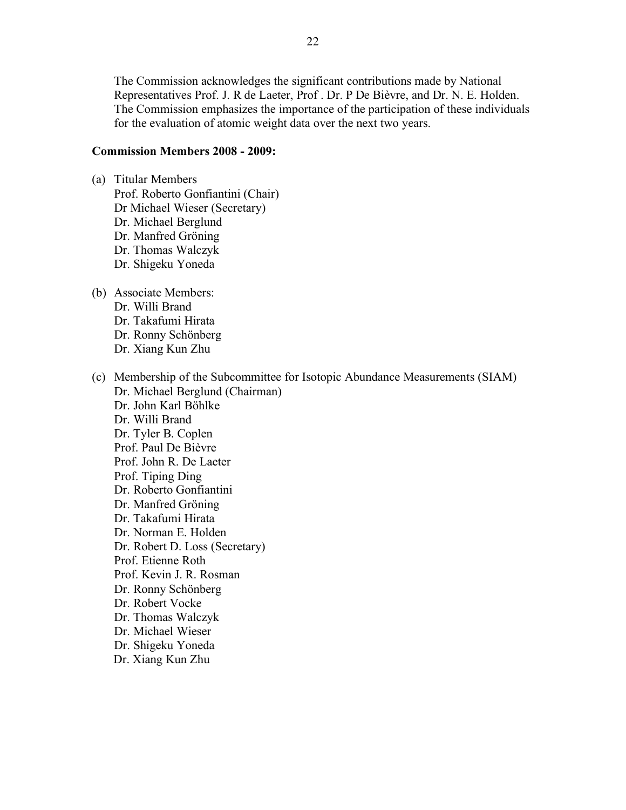The Commission acknowledges the significant contributions made by National Representatives Prof. J. R de Laeter, Prof . Dr. P De Bièvre, and Dr. N. E. Holden. The Commission emphasizes the importance of the participation of these individuals for the evaluation of atomic weight data over the next two years.

#### **Commission Members 2008 - 2009:**

- (a) Titular Members Prof. Roberto Gonfiantini (Chair) Dr Michael Wieser (Secretary) Dr. Michael Berglund Dr. Manfred Gröning Dr. Thomas Walczyk Dr. Shigeku Yoneda
- (b) Associate Members:
	- Dr. Willi Brand Dr. Takafumi Hirata
	- Dr. Ronny Schönberg
	-
	- Dr. Xiang Kun Zhu
- (c) Membership of the Subcommittee for Isotopic Abundance Measurements (SIAM) Dr. Michael Berglund (Chairman) Dr. John Karl Böhlke Dr. Willi Brand Dr. Tyler B. Coplen Prof. Paul De Bièvre Prof. John R. De Laeter Prof. Tiping Ding Dr. Roberto Gonfiantini Dr. Manfred Gröning Dr. Takafumi Hirata Dr. Norman E. Holden Dr. Robert D. Loss (Secretary) Prof. Etienne Roth Prof. Kevin J. R. Rosman Dr. Ronny Schönberg Dr. Robert Vocke Dr. Thomas Walczyk Dr. Michael Wieser Dr. Shigeku Yoneda Dr. Xiang Kun Zhu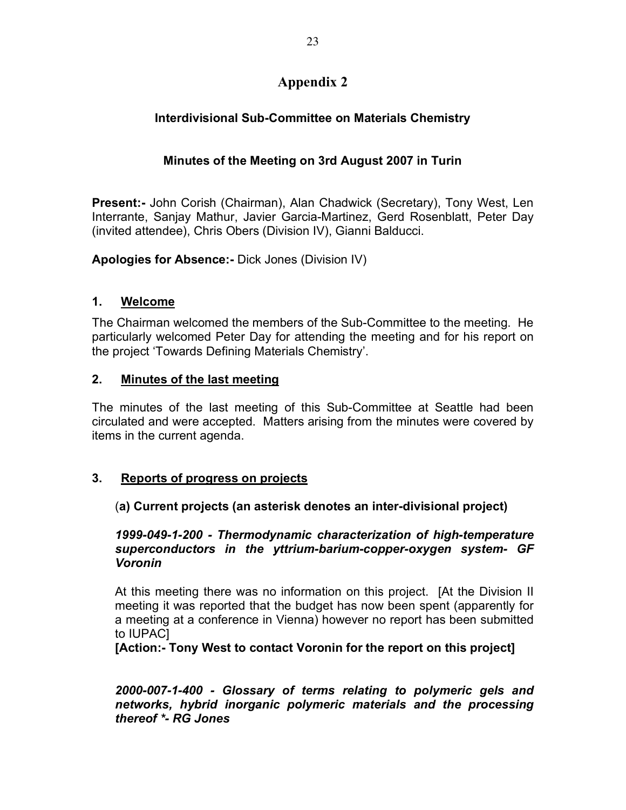# **Interdivisional Sub-Committee on Materials Chemistry**

# **Minutes of the Meeting on 3rd August 2007 in Turin**

**Present:-** John Corish (Chairman), Alan Chadwick (Secretary), Tony West, Len Interrante, Sanjay Mathur, Javier Garcia-Martinez, Gerd Rosenblatt, Peter Day (invited attendee), Chris Obers (Division IV), Gianni Balducci.

**Apologies for Absence:-** Dick Jones (Division IV)

# **1. Welcome**

The Chairman welcomed the members of the Sub-Committee to the meeting. He particularly welcomed Peter Day for attending the meeting and for his report on the project 'Towards Defining Materials Chemistry'.

# **2. Minutes of the last meeting**

The minutes of the last meeting of this Sub-Committee at Seattle had been circulated and were accepted. Matters arising from the minutes were covered by items in the current agenda.

# **3. Reports of progress on projects**

# (**a) Current projects (an asterisk denotes an inter-divisional project)**

### *1999-049-1-200 - Thermodynamic characterization of high-temperature superconductors in the yttrium-barium-copper-oxygen system- GF Voronin*

At this meeting there was no information on this project. [At the Division II meeting it was reported that the budget has now been spent (apparently for a meeting at a conference in Vienna) however no report has been submitted to IUPAC]

**[Action:- Tony West to contact Voronin for the report on this project]**

*2000-007-1-400 - Glossary of terms relating to polymeric gels and networks, hybrid inorganic polymeric materials and the processing thereof \*- RG Jones*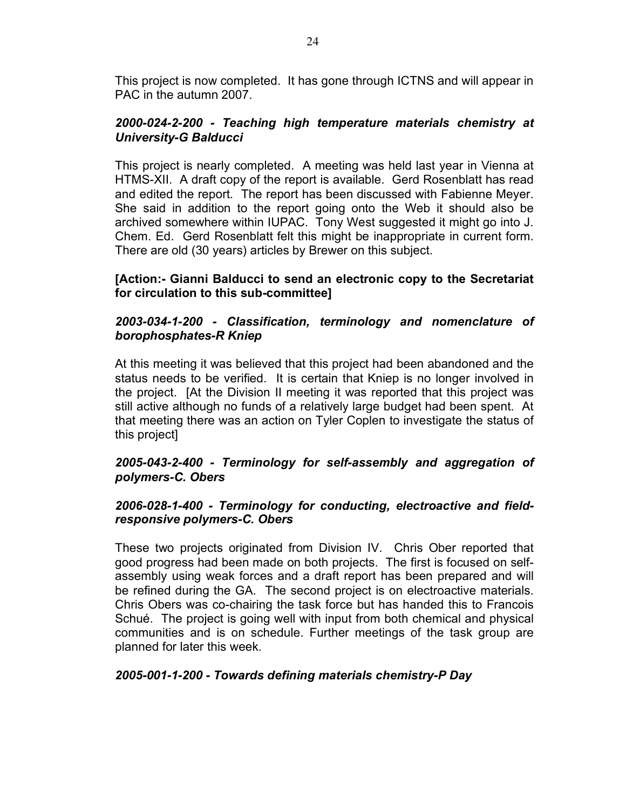This project is now completed. It has gone through ICTNS and will appear in PAC in the autumn 2007.

## *2000-024-2-200 - Teaching high temperature materials chemistry at University-G Balducci*

This project is nearly completed. A meeting was held last year in Vienna at HTMS-XII. A draft copy of the report is available. Gerd Rosenblatt has read and edited the report. The report has been discussed with Fabienne Meyer. She said in addition to the report going onto the Web it should also be archived somewhere within IUPAC. Tony West suggested it might go into J. Chem. Ed. Gerd Rosenblatt felt this might be inappropriate in current form. There are old (30 years) articles by Brewer on this subject.

## **[Action:- Gianni Balducci to send an electronic copy to the Secretariat for circulation to this sub-committee]**

### *2003-034-1-200 - Classification, terminology and nomenclature of borophosphates-R Kniep*

At this meeting it was believed that this project had been abandoned and the status needs to be verified. It is certain that Kniep is no longer involved in the project. [At the Division II meeting it was reported that this project was still active although no funds of a relatively large budget had been spent. At that meeting there was an action on Tyler Coplen to investigate the status of this project]

## *2005-043-2-400 - Terminology for self-assembly and aggregation of polymers-C. Obers*

## *2006-028-1-400 - Terminology for conducting, electroactive and fieldresponsive polymers-C. Obers*

These two projects originated from Division IV. Chris Ober reported that good progress had been made on both projects. The first is focused on selfassembly using weak forces and a draft report has been prepared and will be refined during the GA. The second project is on electroactive materials. Chris Obers was co-chairing the task force but has handed this to Francois Schué. The project is going well with input from both chemical and physical communities and is on schedule. Further meetings of the task group are planned for later this week.

### *2005-001-1-200 - Towards defining materials chemistry-P Day*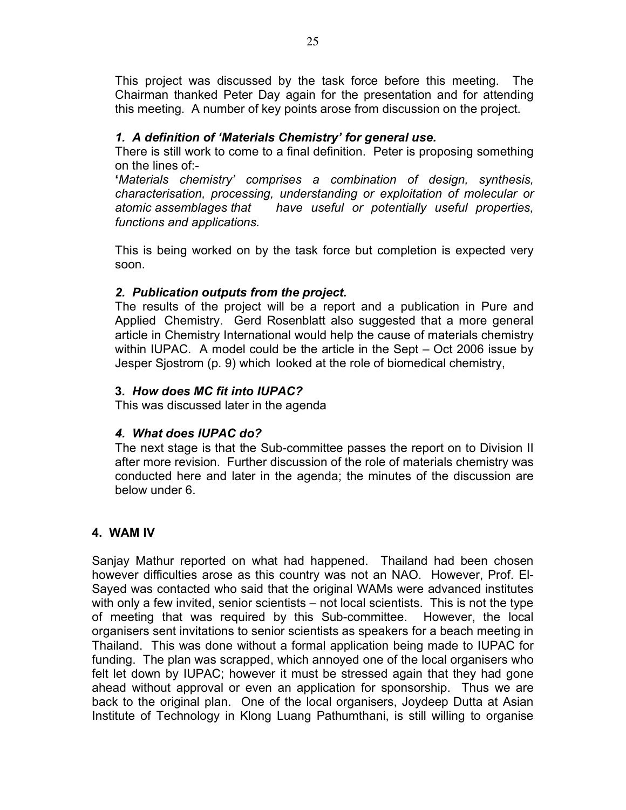This project was discussed by the task force before this meeting. The Chairman thanked Peter Day again for the presentation and for attending this meeting. A number of key points arose from discussion on the project.

### *1. A definition of 'Materials Chemistry' for general use.*

There is still work to come to a final definition. Peter is proposing something on the lines of:-

**'***Materials chemistry' comprises a combination of design, synthesis, characterisation, processing, understanding or exploitation of molecular or atomic assemblages that have useful or potentially useful properties, functions and applications.*

This is being worked on by the task force but completion is expected very soon.

# *2. Publication outputs from the project.*

The results of the project will be a report and a publication in Pure and Applied Chemistry. Gerd Rosenblatt also suggested that a more general article in Chemistry International would help the cause of materials chemistry within IUPAC. A model could be the article in the Sept – Oct 2006 issue by Jesper Sjostrom (p. 9) which looked at the role of biomedical chemistry,

## **3***. How does MC fit into IUPAC?*

This was discussed later in the agenda

# *4. What does IUPAC do?*

The next stage is that the Sub-committee passes the report on to Division II after more revision. Further discussion of the role of materials chemistry was conducted here and later in the agenda; the minutes of the discussion are below under 6.

# **4. WAM IV**

Sanjay Mathur reported on what had happened. Thailand had been chosen however difficulties arose as this country was not an NAO. However, Prof. El-Sayed was contacted who said that the original WAMs were advanced institutes with only a few invited, senior scientists – not local scientists. This is not the type of meeting that was required by this Sub-committee. However, the local organisers sent invitations to senior scientists as speakers for a beach meeting in Thailand. This was done without a formal application being made to IUPAC for funding. The plan was scrapped, which annoyed one of the local organisers who felt let down by IUPAC; however it must be stressed again that they had gone ahead without approval or even an application for sponsorship. Thus we are back to the original plan. One of the local organisers, Joydeep Dutta at Asian Institute of Technology in Klong Luang Pathumthani, is still willing to organise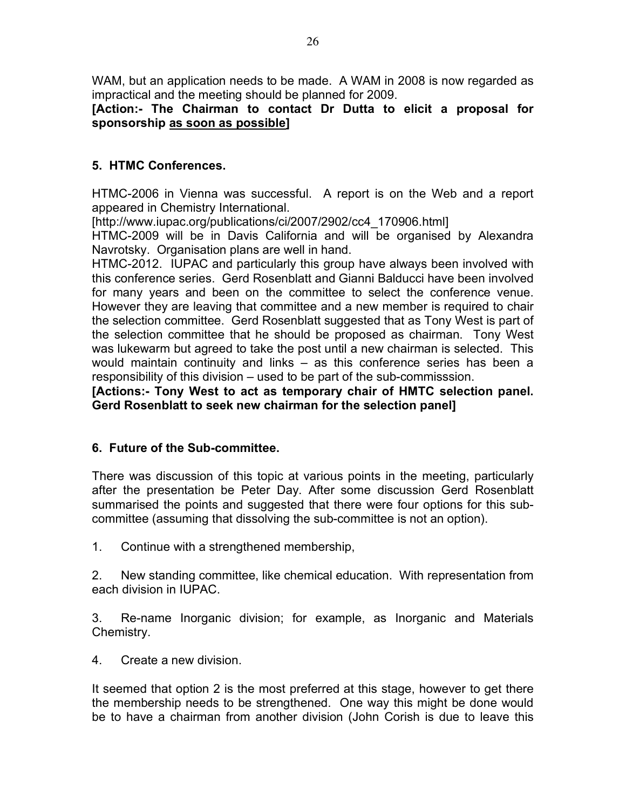WAM, but an application needs to be made. A WAM in 2008 is now regarded as impractical and the meeting should be planned for 2009.

# **[Action:- The Chairman to contact Dr Dutta to elicit a proposal for sponsorship as soon as possible]**

# **5. HTMC Conferences.**

HTMC-2006 in Vienna was successful. A report is on the Web and a report appeared in Chemistry International.

[http://www.iupac.org/publications/ci/2007/2902/cc4\_170906.html]

HTMC-2009 will be in Davis California and will be organised by Alexandra Navrotsky. Organisation plans are well in hand.

HTMC-2012. IUPAC and particularly this group have always been involved with this conference series. Gerd Rosenblatt and Gianni Balducci have been involved for many years and been on the committee to select the conference venue. However they are leaving that committee and a new member is required to chair the selection committee. Gerd Rosenblatt suggested that as Tony West is part of the selection committee that he should be proposed as chairman. Tony West was lukewarm but agreed to take the post until a new chairman is selected. This would maintain continuity and links – as this conference series has been a responsibility of this division – used to be part of the sub-commisssion.

**[Actions:- Tony West to act as temporary chair of HMTC selection panel. Gerd Rosenblatt to seek new chairman for the selection panel]**

# **6. Future of the Sub-committee.**

There was discussion of this topic at various points in the meeting, particularly after the presentation be Peter Day. After some discussion Gerd Rosenblatt summarised the points and suggested that there were four options for this subcommittee (assuming that dissolving the sub-committee is not an option).

1. Continue with a strengthened membership,

2. New standing committee, like chemical education. With representation from each division in IUPAC.

3. Re-name Inorganic division; for example, as Inorganic and Materials Chemistry.

4. Create a new division.

It seemed that option 2 is the most preferred at this stage, however to get there the membership needs to be strengthened. One way this might be done would be to have a chairman from another division (John Corish is due to leave this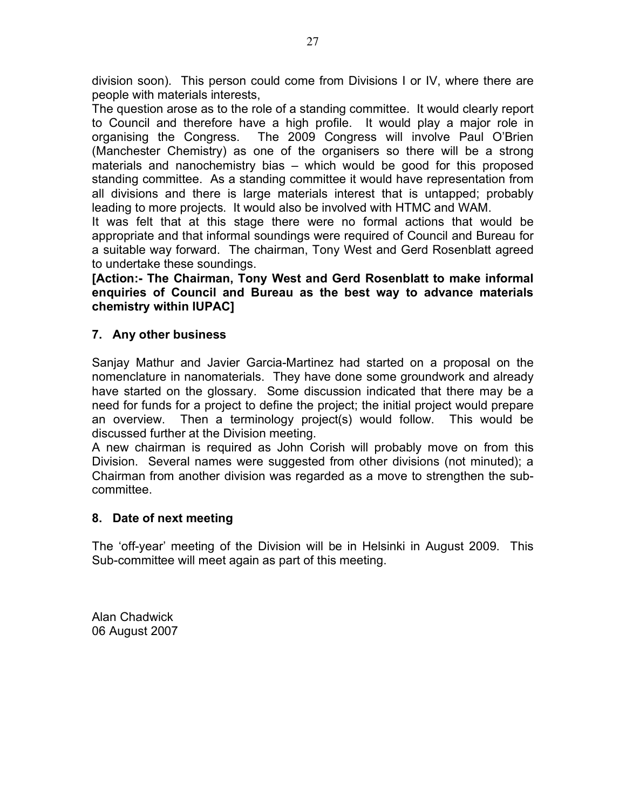division soon). This person could come from Divisions I or IV, where there are people with materials interests,

The question arose as to the role of a standing committee. It would clearly report to Council and therefore have a high profile. It would play a major role in organising the Congress. The 2009 Congress will involve Paul O'Brien (Manchester Chemistry) as one of the organisers so there will be a strong materials and nanochemistry bias – which would be good for this proposed standing committee. As a standing committee it would have representation from all divisions and there is large materials interest that is untapped; probably leading to more projects. It would also be involved with HTMC and WAM.

It was felt that at this stage there were no formal actions that would be appropriate and that informal soundings were required of Council and Bureau for a suitable way forward. The chairman, Tony West and Gerd Rosenblatt agreed to undertake these soundings.

**[Action:- The Chairman, Tony West and Gerd Rosenblatt to make informal enquiries of Council and Bureau as the best way to advance materials chemistry within IUPAC]**

## **7. Any other business**

Sanjay Mathur and Javier Garcia-Martinez had started on a proposal on the nomenclature in nanomaterials. They have done some groundwork and already have started on the glossary. Some discussion indicated that there may be a need for funds for a project to define the project; the initial project would prepare an overview. Then a terminology project(s) would follow. This would be discussed further at the Division meeting.

A new chairman is required as John Corish will probably move on from this Division. Several names were suggested from other divisions (not minuted); a Chairman from another division was regarded as a move to strengthen the subcommittee.

### **8. Date of next meeting**

The 'off-year' meeting of the Division will be in Helsinki in August 2009. This Sub-committee will meet again as part of this meeting.

Alan Chadwick 06 August 2007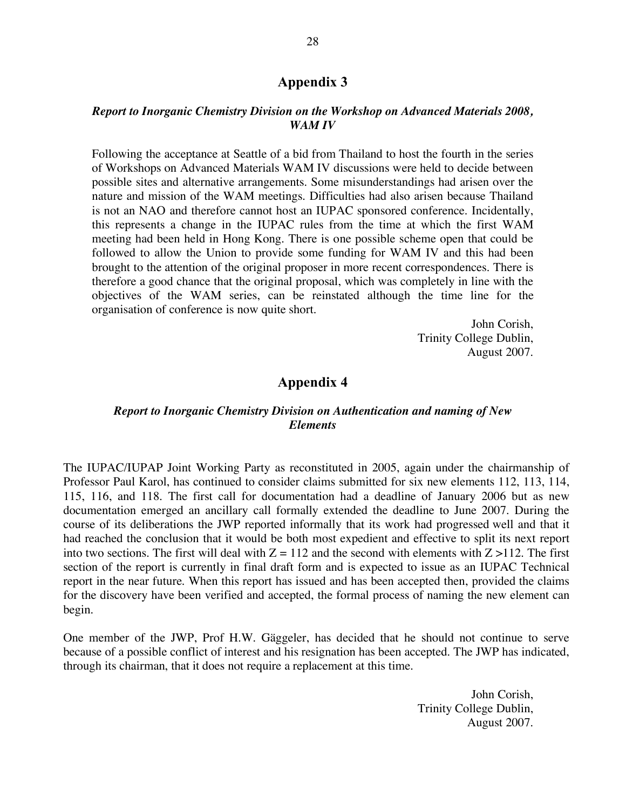#### *Report to Inorganic Chemistry Division on the Workshop on Advanced Materials 2008, WAM IV*

Following the acceptance at Seattle of a bid from Thailand to host the fourth in the series of Workshops on Advanced Materials WAM IV discussions were held to decide between possible sites and alternative arrangements. Some misunderstandings had arisen over the nature and mission of the WAM meetings. Difficulties had also arisen because Thailand is not an NAO and therefore cannot host an IUPAC sponsored conference. Incidentally, this represents a change in the IUPAC rules from the time at which the first WAM meeting had been held in Hong Kong. There is one possible scheme open that could be followed to allow the Union to provide some funding for WAM IV and this had been brought to the attention of the original proposer in more recent correspondences. There is therefore a good chance that the original proposal, which was completely in line with the objectives of the WAM series, can be reinstated although the time line for the organisation of conference is now quite short.

> John Corish, Trinity College Dublin, August 2007.

### **Appendix 4**

### *Report to Inorganic Chemistry Division on Authentication and naming of New Elements*

The IUPAC/IUPAP Joint Working Party as reconstituted in 2005, again under the chairmanship of Professor Paul Karol, has continued to consider claims submitted for six new elements 112, 113, 114, 115, 116, and 118. The first call for documentation had a deadline of January 2006 but as new documentation emerged an ancillary call formally extended the deadline to June 2007. During the course of its deliberations the JWP reported informally that its work had progressed well and that it had reached the conclusion that it would be both most expedient and effective to split its next report into two sections. The first will deal with  $Z = 112$  and the second with elements with  $Z > 112$ . The first section of the report is currently in final draft form and is expected to issue as an IUPAC Technical report in the near future. When this report has issued and has been accepted then, provided the claims for the discovery have been verified and accepted, the formal process of naming the new element can begin.

One member of the JWP, Prof H.W. Gäggeler, has decided that he should not continue to serve because of a possible conflict of interest and his resignation has been accepted. The JWP has indicated, through its chairman, that it does not require a replacement at this time.

> John Corish, Trinity College Dublin, August 2007.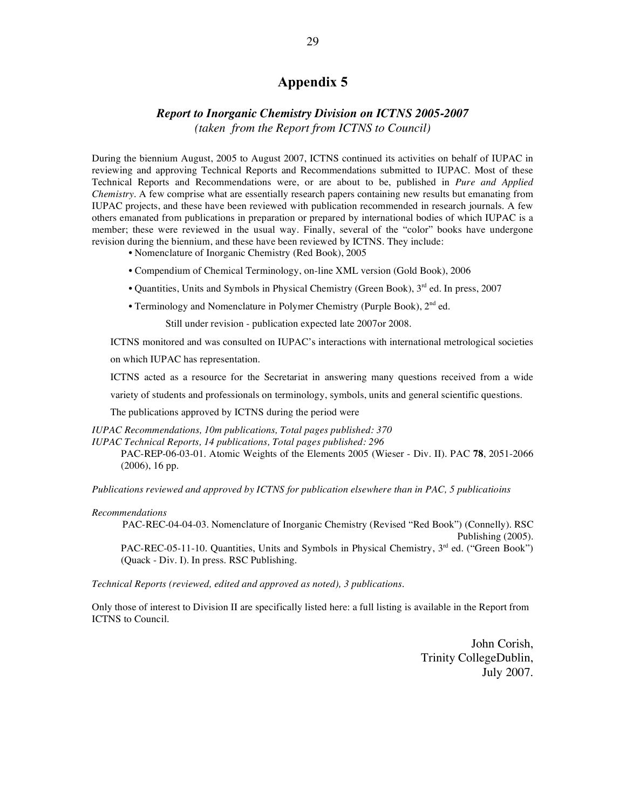#### *Report to Inorganic Chemistry Division on ICTNS 2005-2007*

*(taken from the Report from ICTNS to Council)*

During the biennium August, 2005 to August 2007, ICTNS continued its activities on behalf of IUPAC in reviewing and approving Technical Reports and Recommendations submitted to IUPAC. Most of these Technical Reports and Recommendations were, or are about to be, published in *Pure and Applied Chemistry*. A few comprise what are essentially research papers containing new results but emanating from IUPAC projects, and these have been reviewed with publication recommended in research journals. A few others emanated from publications in preparation or prepared by international bodies of which IUPAC is a member; these were reviewed in the usual way. Finally, several of the "color" books have undergone revision during the biennium, and these have been reviewed by ICTNS. They include:

• Nomenclature of Inorganic Chemistry (Red Book), 2005

- Compendium of Chemical Terminology, on-line XML version (Gold Book), 2006
- Quantities, Units and Symbols in Physical Chemistry (Green Book),  $3<sup>rd</sup>$  ed. In press, 2007
- Terminology and Nomenclature in Polymer Chemistry (Purple Book), 2<sup>nd</sup> ed.

Still under revision - publication expected late 2007or 2008.

ICTNS monitored and was consulted on IUPAC's interactions with international metrological societies

on which IUPAC has representation.

ICTNS acted as a resource for the Secretariat in answering many questions received from a wide

variety of students and professionals on terminology, symbols, units and general scientific questions.

The publications approved by ICTNS during the period were

*IUPAC Recommendations, 10m publications, Total pages published: 370 IUPAC Technical Reports, 14 publications, Total pages published: 296*

PAC-REP-06-03-01. Atomic Weights of the Elements 2005 (Wieser - Div. II). PAC **78**, 2051-2066 (2006), 16 pp.

*Publications reviewed and approved by ICTNS for publication elsewhere than in PAC, 5 publicatioins*

#### *Recommendations*

PAC-REC-04-04-03. Nomenclature of Inorganic Chemistry (Revised "Red Book") (Connelly). RSC Publishing (2005). PAC-REC-05-11-10. Quantities, Units and Symbols in Physical Chemistry, 3<sup>rd</sup> ed. ("Green Book") (Quack - Div. I). In press. RSC Publishing.

*Technical Reports (reviewed, edited and approved as noted), 3 publications.*

Only those of interest to Division II are specifically listed here: a full listing is available in the Report from ICTNS to Council.

> John Corish, Trinity CollegeDublin, July 2007.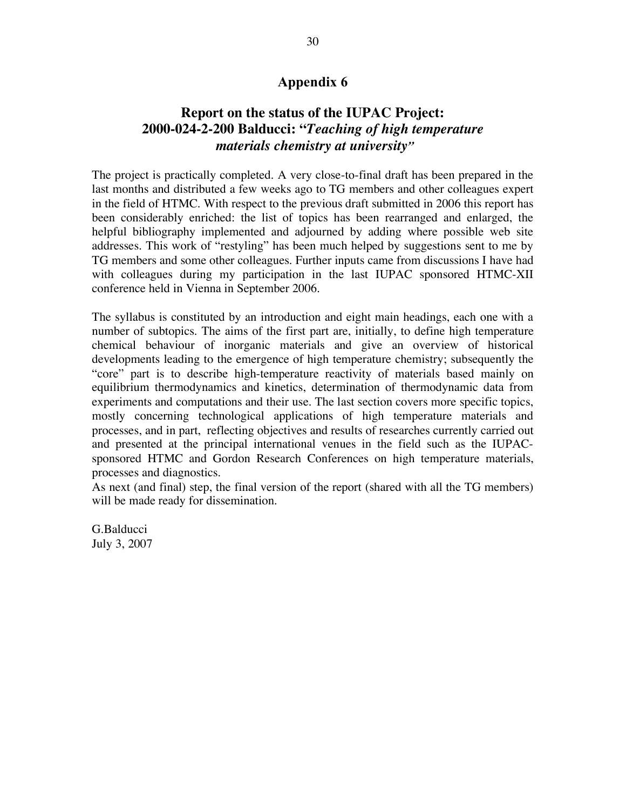# **Report on the status of the IUPAC Project: 2000-024-2-200 Balducci: "***Teaching of high temperature materials chemistry at university"*

The project is practically completed. A very close-to-final draft has been prepared in the last months and distributed a few weeks ago to TG members and other colleagues expert in the field of HTMC. With respect to the previous draft submitted in 2006 this report has been considerably enriched: the list of topics has been rearranged and enlarged, the helpful bibliography implemented and adjourned by adding where possible web site addresses. This work of "restyling" has been much helped by suggestions sent to me by TG members and some other colleagues. Further inputs came from discussions I have had with colleagues during my participation in the last IUPAC sponsored HTMC-XII conference held in Vienna in September 2006.

The syllabus is constituted by an introduction and eight main headings, each one with a number of subtopics. The aims of the first part are, initially, to define high temperature chemical behaviour of inorganic materials and give an overview of historical developments leading to the emergence of high temperature chemistry; subsequently the "core" part is to describe high-temperature reactivity of materials based mainly on equilibrium thermodynamics and kinetics, determination of thermodynamic data from experiments and computations and their use. The last section covers more specific topics, mostly concerning technological applications of high temperature materials and processes, and in part, reflecting objectives and results of researches currently carried out and presented at the principal international venues in the field such as the IUPACsponsored HTMC and Gordon Research Conferences on high temperature materials, processes and diagnostics.

As next (and final) step, the final version of the report (shared with all the TG members) will be made ready for dissemination.

G.Balducci July 3, 2007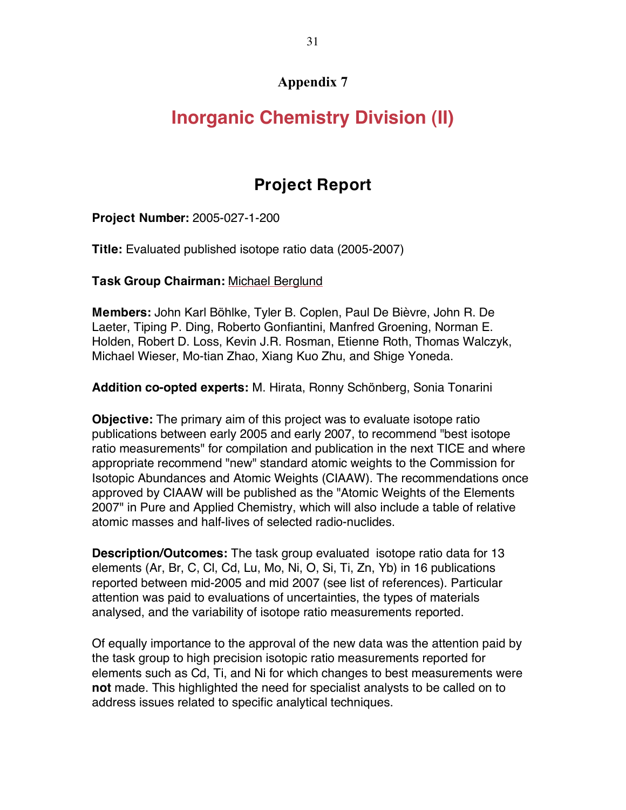# **Inorganic Chemistry Division (II)**

# **Project Report**

**Project Number:** 2005-027-1-200

**Title:** Evaluated published isotope ratio data (2005-2007)

**Task Group Chairman:** Michael Berglund

**Members:** John Karl Böhlke, Tyler B. Coplen, Paul De Bièvre, John R. De Laeter, Tiping P. Ding, Roberto Gonfiantini, Manfred Groening, Norman E. Holden, Robert D. Loss, Kevin J.R. Rosman, Etienne Roth, Thomas Walczyk, Michael Wieser, Mo-tian Zhao, Xiang Kuo Zhu, and Shige Yoneda.

**Addition co-opted experts:** M. Hirata, Ronny Schönberg, Sonia Tonarini

**Objective:** The primary aim of this project was to evaluate isotope ratio publications between early 2005 and early 2007, to recommend "best isotope ratio measurements" for compilation and publication in the next TICE and where appropriate recommend "new" standard atomic weights to the Commission for Isotopic Abundances and Atomic Weights (CIAAW). The recommendations once approved by CIAAW will be published as the "Atomic Weights of the Elements 2007" in Pure and Applied Chemistry, which will also include a table of relative atomic masses and half-lives of selected radio-nuclides.

**Description/Outcomes:** The task group evaluated isotope ratio data for 13 elements (Ar, Br, C, Cl, Cd, Lu, Mo, Ni, O, Si, Ti, Zn, Yb) in 16 publications reported between mid-2005 and mid 2007 (see list of references). Particular attention was paid to evaluations of uncertainties, the types of materials analysed, and the variability of isotope ratio measurements reported.

Of equally importance to the approval of the new data was the attention paid by the task group to high precision isotopic ratio measurements reported for elements such as Cd, Ti, and Ni for which changes to best measurements were **not** made. This highlighted the need for specialist analysts to be called on to address issues related to specific analytical techniques.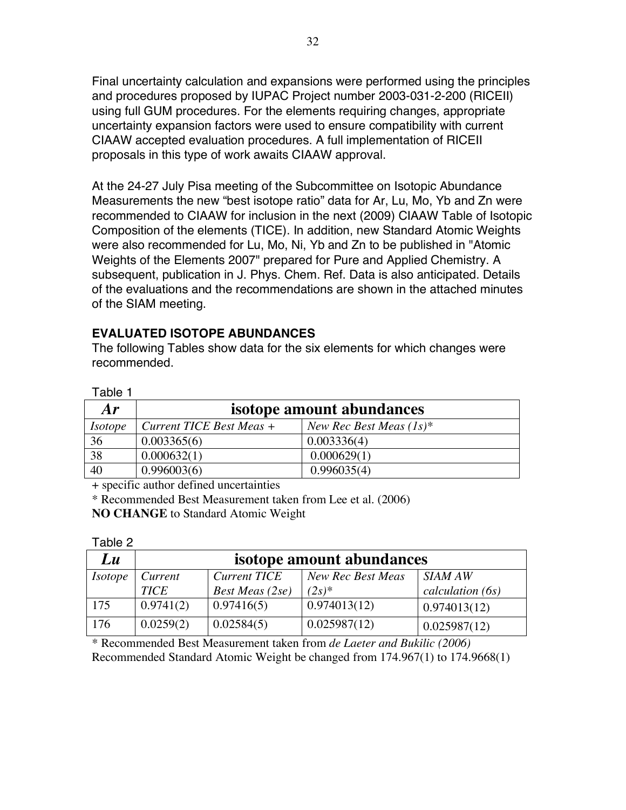Final uncertainty calculation and expansions were performed using the principles and procedures proposed by IUPAC Project number 2003-031-2-200 (RICEII) using full GUM procedures. For the elements requiring changes, appropriate uncertainty expansion factors were used to ensure compatibility with current CIAAW accepted evaluation procedures. A full implementation of RICEII proposals in this type of work awaits CIAAW approval.

At the 24-27 July Pisa meeting of the Subcommittee on Isotopic Abundance Measurements the new "best isotope ratio" data for Ar, Lu, Mo, Yb and Zn were recommended to CIAAW for inclusion in the next (2009) CIAAW Table of Isotopic Composition of the elements (TICE). In addition, new Standard Atomic Weights were also recommended for Lu, Mo, Ni, Yb and Zn to be published in "Atomic Weights of the Elements 2007" prepared for Pure and Applied Chemistry. A subsequent, publication in J. Phys. Chem. Ref. Data is also anticipated. Details of the evaluations and the recommendations are shown in the attached minutes of the SIAM meeting.

### **EVALUATED ISOTOPE ABUNDANCES**

The following Tables show data for the six elements for which changes were recommended.

| Table 1        |                          |                            |
|----------------|--------------------------|----------------------------|
| Ar             |                          | isotope amount abundances  |
| <i>Isotope</i> | Current TICE Best Meas + | New Rec Best Meas $(1s)^*$ |
| 36             | 0.003365(6)              | 0.003336(4)                |
| 38             | 0.000632(1)              | 0.000629(1)                |
| 40             | 0.996003(6)              | 0.996035(4)                |

+ specific author defined uncertainties

 $T_{\text{max}}$ 

\* Recommended Best Measurement taken from Lee et al. (2006)

**NO CHANGE** to Standard Atomic Weight

| apie z         |                           |                        |                   |                  |
|----------------|---------------------------|------------------------|-------------------|------------------|
| Lu             | isotope amount abundances |                        |                   |                  |
| <i>Isotope</i> | Current                   | <b>Current TICE</b>    | New Rec Best Meas | SIAM AW          |
|                | <b>TICE</b>               | <b>Best Meas</b> (2se) | $(2s)^*$          | calculation (6s) |
| 175            | 0.9741(2)                 | 0.97416(5)             | 0.974013(12)      | 0.974013(12)     |
| 176            | 0.0259(2)                 | 0.02584(5)             | 0.025987(12)      | 0.025987(12)     |

\* Recommended Best Measurement taken from *de Laeter and Bukilic (2006)* Recommended Standard Atomic Weight be changed from 174.967(1) to 174.9668(1)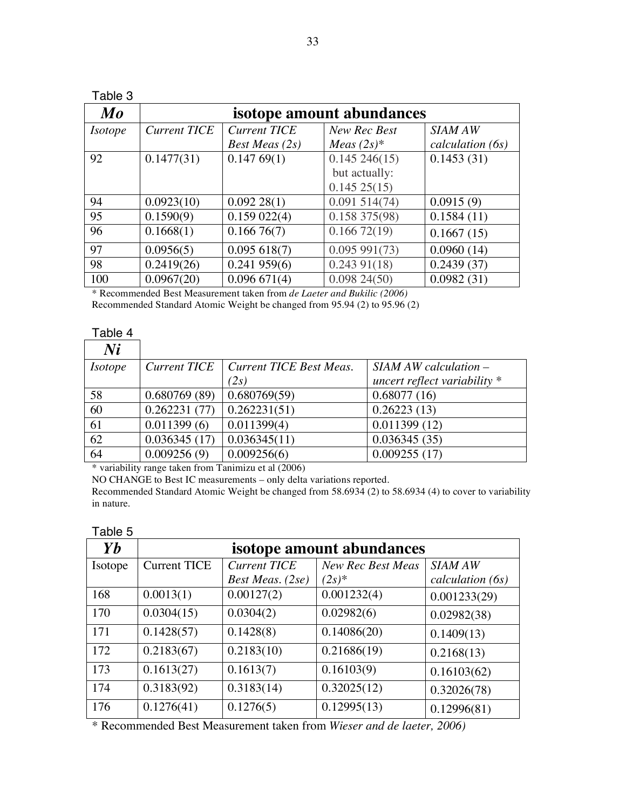| Table 3        |                           |                     |               |                  |
|----------------|---------------------------|---------------------|---------------|------------------|
| $\bm{Mo}$      | isotope amount abundances |                     |               |                  |
| <i>Isotope</i> | <b>Current TICE</b>       | <b>Current TICE</b> | New Rec Best  | <b>SIAM AW</b>   |
|                |                           | Best Meas $(2s)$    | Meas $(2s)*$  | calculation (6s) |
| 92             | 0.1477(31)                | 0.14769(1)          | 0.145246(15)  | 0.1453(31)       |
|                |                           |                     | but actually: |                  |
|                |                           |                     | 0.14525(15)   |                  |
| 94             | 0.0923(10)                | 0.09228(1)          | 0.091514(74)  | 0.0915(9)        |
| 95             | 0.1590(9)                 | 0.159022(4)         | 0.158375(98)  | 0.1584(11)       |
| 96             | 0.1668(1)                 | 0.16676(7)          | 0.16672(19)   | 0.1667(15)       |
| 97             | 0.0956(5)                 | 0.095618(7)         | 0.095991(73)  | 0.0960(14)       |
| 98             | 0.2419(26)                | 0.241959(6)         | 0.24391(18)   | 0.2439(37)       |
| 100            | 0.0967(20)                | 0.096671(4)         | 0.09824(50)   | 0.0982(31)       |

\* Recommended Best Measurement taken from *de Laeter and Bukilic (2006)* Recommended Standard Atomic Weight be changed from 95.94 (2) to 95.96 (2)

#### Table 4

| Ni             |                     |                         |                                |
|----------------|---------------------|-------------------------|--------------------------------|
| <i>Isotope</i> | <b>Current TICE</b> | Current TICE Best Meas. | $SIAMAW$ calculation $-$       |
|                |                     | (2s)                    | uncert reflect variability $*$ |
| 58             | 0.680769(89)        | 0.680769(59)            | 0.68077(16)                    |
| 60             | 0.262231(77)        | 0.262231(51)            | 0.26223(13)                    |
| 61             | 0.011399(6)         | 0.011399(4)             | 0.011399(12)                   |
| 62             | 0.036345(17)        | 0.036345(11)            | 0.036345(35)                   |
| 64             | 0.009256(9)         | 0.009256(6)             | 0.009255(17)                   |

\* variability range taken from Tanimizu et al (2006)

NO CHANGE to Best IC measurements – only delta variations reported.

Recommended Standard Atomic Weight be changed from 58.6934 (2) to 58.6934 (4) to cover to variability in nature.

### Table 5

| Yb      | isotope amount abundances |                     |                   |                  |
|---------|---------------------------|---------------------|-------------------|------------------|
| Isotope | <b>Current TICE</b>       | <b>Current TICE</b> | New Rec Best Meas | <b>SIAM AW</b>   |
|         |                           | Best Meas. (2se)    | $(2s)*$           | calculation (6s) |
| 168     | 0.0013(1)                 | 0.00127(2)          | 0.001232(4)       | 0.001233(29)     |
| 170     | 0.0304(15)                | 0.0304(2)           | 0.02982(6)        | 0.02982(38)      |
| 171     | 0.1428(57)                | 0.1428(8)           | 0.14086(20)       | 0.1409(13)       |
| 172     | 0.2183(67)                | 0.2183(10)          | 0.21686(19)       | 0.2168(13)       |
| 173     | 0.1613(27)                | 0.1613(7)           | 0.16103(9)        | 0.16103(62)      |
| 174     | 0.3183(92)                | 0.3183(14)          | 0.32025(12)       | 0.32026(78)      |
| 176     | 0.1276(41)                | 0.1276(5)           | 0.12995(13)       | 0.12996(81)      |

\* Recommended Best Measurement taken from *Wieser and de laeter, 2006)*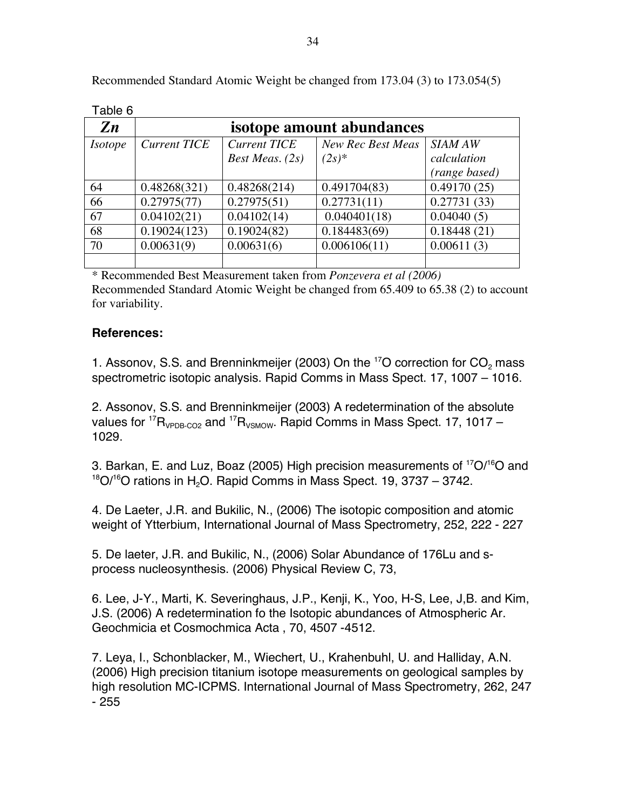| Table 6        |                           |                     |                          |                |
|----------------|---------------------------|---------------------|--------------------------|----------------|
| $\mathbf{Z}n$  | isotope amount abundances |                     |                          |                |
| <i>Isotope</i> | <b>Current TICE</b>       | <b>Current TICE</b> | <b>New Rec Best Meas</b> | <b>SIAM AW</b> |
|                |                           | Best Meas. $(2s)$   | $(2s)^{*}$               | calculation    |
|                |                           |                     |                          | (range based)  |
| 64             | 0.48268(321)              | 0.48268(214)        | 0.491704(83)             | 0.49170(25)    |
| 66             | 0.27975(77)               | 0.27975(51)         | 0.27731(11)              | 0.27731(33)    |
| 67             | 0.04102(21)               | 0.04102(14)         | 0.040401(18)             | 0.04040(5)     |
| 68             | 0.19024(123)              | 0.19024(82)         | 0.184483(69)             | 0.18448(21)    |
| 70             | 0.00631(9)                | 0.00631(6)          | 0.006106(11)             | 0.00611(3)     |
|                |                           |                     |                          |                |

Recommended Standard Atomic Weight be changed from 173.04 (3) to 173.054(5)

\* Recommended Best Measurement taken from *Ponzevera et al (2006)* Recommended Standard Atomic Weight be changed from 65.409 to 65.38 (2) to account for variability.

### **References:**

1. Assonov, S.S. and Brenninkmeijer (2003) On the  $^{17}$ O correction for  $CO<sub>2</sub>$  mass spectrometric isotopic analysis. Rapid Comms in Mass Spect. 17, 1007 – 1016.

2. Assonov, S.S. and Brenninkmeijer (2003) A redetermination of the absolute values for  $\mathrm{^{17}R_{VPDB\text{-}CO2}}$  and  $\mathrm{^{17}R_{VSMOW.}}$  Rapid Comms in Mass Spect. 17, 1017 – 1029.

3. Barkan, E. and Luz, Boaz (2005) High precision measurements of <sup>17</sup>O/<sup>16</sup>O and  $18$ O/ $16$ O rations in H<sub>2</sub>O. Rapid Comms in Mass Spect. 19, 3737 – 3742.

4. De Laeter, J.R. and Bukilic, N., (2006) The isotopic composition and atomic weight of Ytterbium, International Journal of Mass Spectrometry, 252, 222 - 227

5. De laeter, J.R. and Bukilic, N., (2006) Solar Abundance of 176Lu and sprocess nucleosynthesis. (2006) Physical Review C, 73,

6. Lee, J-Y., Marti, K. Severinghaus, J.P., Kenji, K., Yoo, H-S, Lee, J,B. and Kim, J.S. (2006) A redetermination fo the Isotopic abundances of Atmospheric Ar. Geochmicia et Cosmochmica Acta , 70, 4507 -4512.

7. Leya, I., Schonblacker, M., Wiechert, U., Krahenbuhl, U. and Halliday, A.N. (2006) High precision titanium isotope measurements on geological samples by high resolution MC-ICPMS. International Journal of Mass Spectrometry, 262, 247 - 255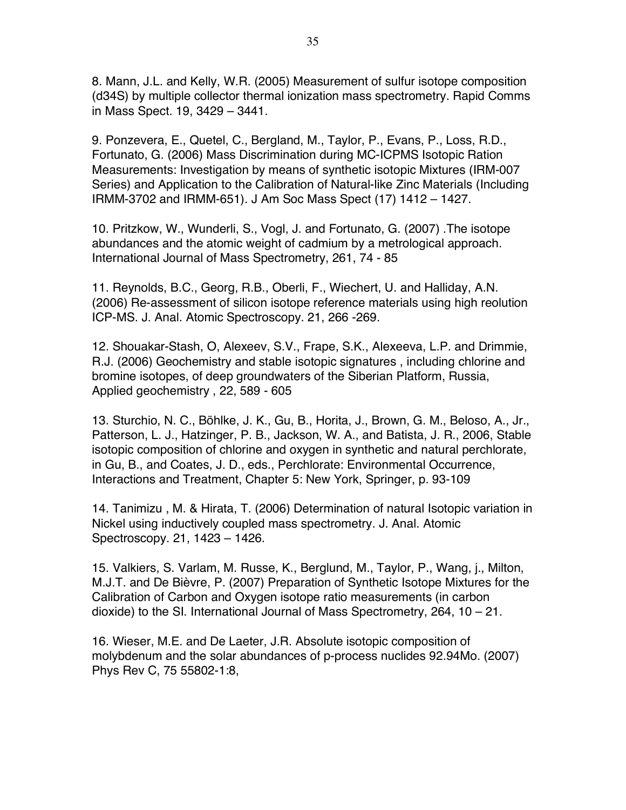8. Mann, J.L. and Kelly, W.R. (2005) Measurement of sulfur isotope composition (d34S) by multiple collector thermal ionization mass spectrometry. Rapid Comms in Mass Spect. 19, 3429 – 3441.

9. Ponzevera, E., Quetel, C., Bergland, M., Taylor, P., Evans, P., Loss, R.D., Fortunato, G. (2006) Mass Discrimination during MC-ICPMS Isotopic Ration Measurements: Investigation by means of synthetic isotopic Mixtures (IRM-007 Series) and Application to the Calibration of Natural-like Zinc Materials (Including IRMM-3702 and IRMM-651). J Am Soc Mass Spect (17) 1412 – 1427.

10. Pritzkow, W., Wunderli, S., Vogl, J. and Fortunato, G. (2007) .The isotope abundances and the atomic weight of cadmium by a metrological approach. International Journal of Mass Spectrometry, 261, 74 - 85

11. Reynolds, B.C., Georg, R.B., Oberli, F., Wiechert, U. and Halliday, A.N. (2006) Re-assessment of silicon isotope reference materials using high reolution ICP-MS. J. Anal. Atomic Spectroscopy. 21, 266 -269.

12. Shouakar-Stash, O, Alexeev, S.V., Frape, S.K., Alexeeva, L.P. and Drimmie, R.J. (2006) Geochemistry and stable isotopic signatures , including chlorine and bromine isotopes, of deep groundwaters of the Siberian Platform, Russia, Applied geochemistry , 22, 589 - 605

13. Sturchio, N. C., Böhlke, J. K., Gu, B., Horita, J., Brown, G. M., Beloso, A., Jr., Patterson, L. J., Hatzinger, P. B., Jackson, W. A., and Batista, J. R., 2006, Stable isotopic composition of chlorine and oxygen in synthetic and natural perchlorate, in Gu, B., and Coates, J. D., eds., Perchlorate: Environmental Occurrence, Interactions and Treatment, Chapter 5: New York, Springer, p. 93-109

14. Tanimizu , M. & Hirata, T. (2006) Determination of natural Isotopic variation in Nickel using inductively coupled mass spectrometry. J. Anal. Atomic Spectroscopy. 21, 1423 – 1426.

15. Valkiers, S. Varlam, M. Russe, K., Berglund, M., Taylor, P., Wang, j., Milton, M.J.T. and De Bièvre, P. (2007) Preparation of Synthetic Isotope Mixtures for the Calibration of Carbon and Oxygen isotope ratio measurements (in carbon dioxide) to the SI. International Journal of Mass Spectrometry, 264, 10 – 21.

16. Wieser, M.E. and De Laeter, J.R. Absolute isotopic composition of molybdenum and the solar abundances of p-process nuclides 92.94Mo. (2007) Phys Rev C, 75 55802-1:8,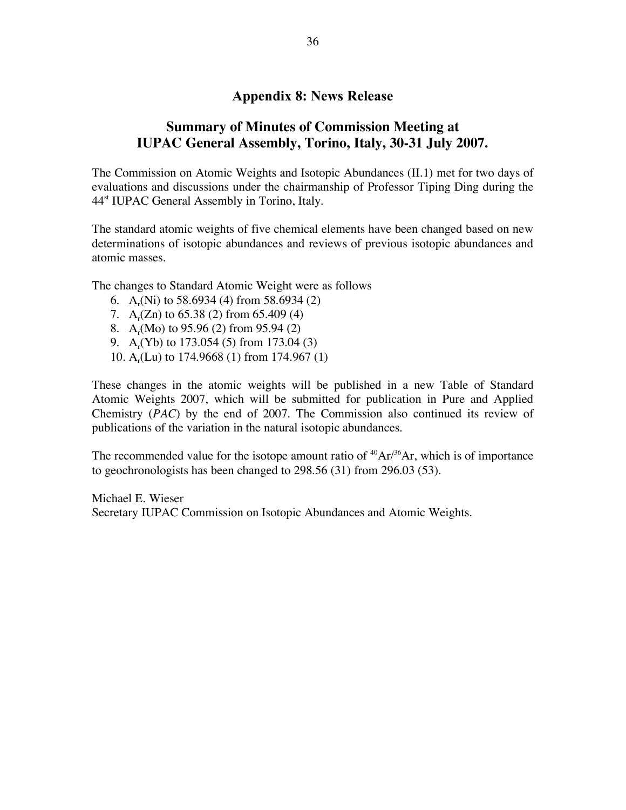### **Appendix 8: News Release**

## **Summary of Minutes of Commission Meeting at IUPAC General Assembly, Torino, Italy, 30-31 July 2007.**

The Commission on Atomic Weights and Isotopic Abundances (II.1) met for two days of evaluations and discussions under the chairmanship of Professor Tiping Ding during the 44st IUPAC General Assembly in Torino, Italy.

The standard atomic weights of five chemical elements have been changed based on new determinations of isotopic abundances and reviews of previous isotopic abundances and atomic masses.

The changes to Standard Atomic Weight were as follows

- 6. A<sub>r</sub>(Ni) to 58.6934 (4) from 58.6934 (2)
- 7.  $A_r(Zn)$  to 65.38 (2) from 65.409 (4)
- 8. A<sub>r</sub>(Mo) to 95.96 (2) from 95.94 (2)
- 9. A<sub>r</sub>(Yb) to 173.054 (5) from 173.04 (3)
- 10. A<sub>r</sub>(Lu) to 174.9668 (1) from 174.967 (1)

These changes in the atomic weights will be published in a new Table of Standard Atomic Weights 2007, which will be submitted for publication in Pure and Applied Chemistry (*PAC*) by the end of 2007. The Commission also continued its review of publications of the variation in the natural isotopic abundances.

The recommended value for the isotope amount ratio of  $^{40}Ar^{36}Ar$ , which is of importance to geochronologists has been changed to 298.56 (31) from 296.03 (53).

Michael E. Wieser Secretary IUPAC Commission on Isotopic Abundances and Atomic Weights.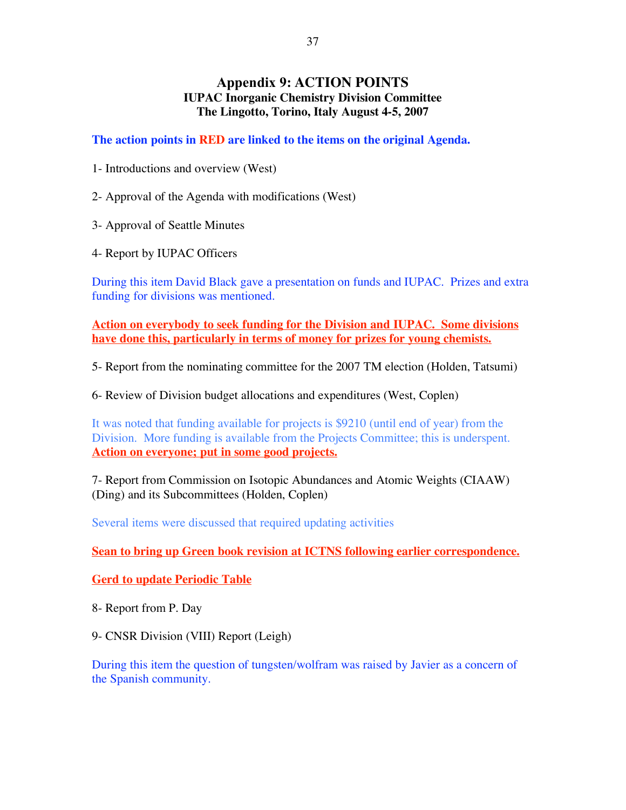### **Appendix 9: ACTION POINTS IUPAC Inorganic Chemistry Division Committee The Lingotto, Torino, Italy August 4-5, 2007**

**The action points in RED are linked to the items on the original Agenda.**

1- Introductions and overview (West)

2- Approval of the Agenda with modifications (West)

3- Approval of Seattle Minutes

4- Report by IUPAC Officers

During this item David Black gave a presentation on funds and IUPAC. Prizes and extra funding for divisions was mentioned.

**Action on everybody to seek funding for the Division and IUPAC. Some divisions have done this, particularly in terms of money for prizes for young chemists.**

5- Report from the nominating committee for the 2007 TM election (Holden, Tatsumi)

6- Review of Division budget allocations and expenditures (West, Coplen)

It was noted that funding available for projects is \$9210 (until end of year) from the Division. More funding is available from the Projects Committee; this is underspent. **Action on everyone; put in some good projects.**

7- Report from Commission on Isotopic Abundances and Atomic Weights (CIAAW) (Ding) and its Subcommittees (Holden, Coplen)

Several items were discussed that required updating activities

**Sean to bring up Green book revision at ICTNS following earlier correspondence.**

**Gerd to update Periodic Table**

8- Report from P. Day

9- CNSR Division (VIII) Report (Leigh)

During this item the question of tungsten/wolfram was raised by Javier as a concern of the Spanish community.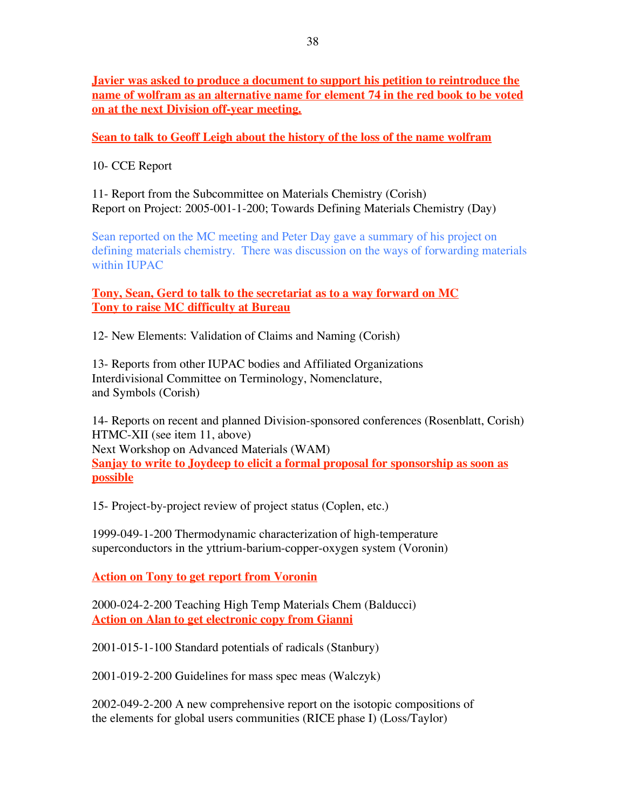**Javier was asked to produce a document to support his petition to reintroduce the name of wolfram as an alternative name for element 74 in the red book to be voted on at the next Division off-year meeting.**

### **Sean to talk to Geoff Leigh about the history of the loss of the name wolfram**

10- CCE Report

11- Report from the Subcommittee on Materials Chemistry (Corish) Report on Project: 2005-001-1-200; Towards Defining Materials Chemistry (Day)

Sean reported on the MC meeting and Peter Day gave a summary of his project on defining materials chemistry. There was discussion on the ways of forwarding materials within IUPAC

**Tony, Sean, Gerd to talk to the secretariat as to a way forward on MC Tony to raise MC difficulty at Bureau**

12- New Elements: Validation of Claims and Naming (Corish)

13- Reports from other IUPAC bodies and Affiliated Organizations Interdivisional Committee on Terminology, Nomenclature, and Symbols (Corish)

14- Reports on recent and planned Division-sponsored conferences (Rosenblatt, Corish) HTMC-XII (see item 11, above) Next Workshop on Advanced Materials (WAM) **Sanjay to write to Joydeep to elicit a formal proposal for sponsorship as soon as possible**

15- Project-by-project review of project status (Coplen, etc.)

1999-049-1-200 Thermodynamic characterization of high-temperature superconductors in the yttrium-barium-copper-oxygen system (Voronin)

**Action on Tony to get report from Voronin**

2000-024-2-200 Teaching High Temp Materials Chem (Balducci) **Action on Alan to get electronic copy from Gianni**

2001-015-1-100 Standard potentials of radicals (Stanbury)

2001-019-2-200 Guidelines for mass spec meas (Walczyk)

2002-049-2-200 A new comprehensive report on the isotopic compositions of the elements for global users communities (RICE phase I) (Loss/Taylor)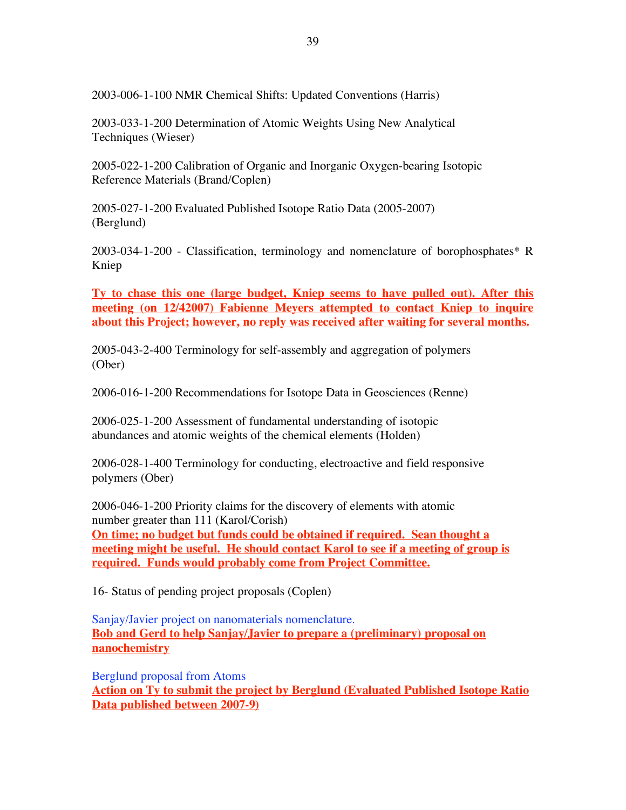2003-006-1-100 NMR Chemical Shifts: Updated Conventions (Harris)

2003-033-1-200 Determination of Atomic Weights Using New Analytical Techniques (Wieser)

2005-022-1-200 Calibration of Organic and Inorganic Oxygen-bearing Isotopic Reference Materials (Brand/Coplen)

2005-027-1-200 Evaluated Published Isotope Ratio Data (2005-2007) (Berglund)

2003-034-1-200 - Classification, terminology and nomenclature of borophosphates\* R Kniep

**Ty to chase this one (large budget, Kniep seems to have pulled out). After this meeting (on 12/42007) Fabienne Meyers attempted to contact Kniep to inquire about this Project; however, no reply was received after waiting for several months.**

2005-043-2-400 Terminology for self-assembly and aggregation of polymers (Ober)

2006-016-1-200 Recommendations for Isotope Data in Geosciences (Renne)

2006-025-1-200 Assessment of fundamental understanding of isotopic abundances and atomic weights of the chemical elements (Holden)

2006-028-1-400 Terminology for conducting, electroactive and field responsive polymers (Ober)

2006-046-1-200 Priority claims for the discovery of elements with atomic number greater than 111 (Karol/Corish) **On time; no budget but funds could be obtained if required. Sean thought a meeting might be useful. He should contact Karol to see if a meeting of group is required. Funds would probably come from Project Committee.**

16- Status of pending project proposals (Coplen)

Sanjay/Javier project on nanomaterials nomenclature. **Bob and Gerd to help Sanjay/Javier to prepare a (preliminary) proposal on nanochemistry**

Berglund proposal from Atoms **Action on Ty to submit the project by Berglund (Evaluated Published Isotope Ratio Data published between 2007-9)**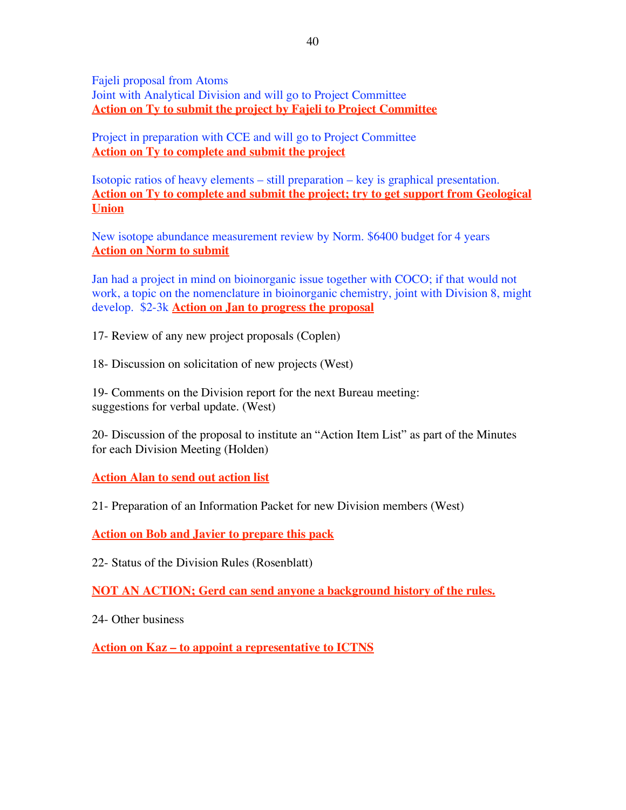Fajeli proposal from Atoms Joint with Analytical Division and will go to Project Committee **Action on Ty to submit the project by Fajeli to Project Committee**

Project in preparation with CCE and will go to Project Committee **Action on Ty to complete and submit the project**

Isotopic ratios of heavy elements – still preparation – key is graphical presentation. **Action on Ty to complete and submit the project; try to get support from Geological Union**

New isotope abundance measurement review by Norm. \$6400 budget for 4 years **Action on Norm to submit**

Jan had a project in mind on bioinorganic issue together with COCO; if that would not work, a topic on the nomenclature in bioinorganic chemistry, joint with Division 8, might develop. \$2-3k **Action on Jan to progress the proposal**

17- Review of any new project proposals (Coplen)

18- Discussion on solicitation of new projects (West)

19- Comments on the Division report for the next Bureau meeting: suggestions for verbal update. (West)

20- Discussion of the proposal to institute an "Action Item List" as part of the Minutes for each Division Meeting (Holden)

**Action Alan to send out action list**

21- Preparation of an Information Packet for new Division members (West)

**Action on Bob and Javier to prepare this pack**

22- Status of the Division Rules (Rosenblatt)

**NOT AN ACTION; Gerd can send anyone a background history of the rules.**

24- Other business

**Action on Kaz – to appoint a representative to ICTNS**